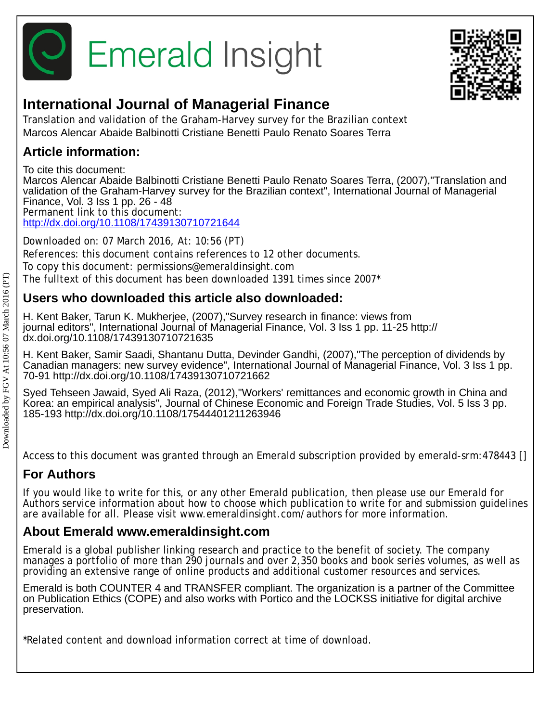



# **International Journal of Managerial Finance**

Translation and validation of the Graham-Harvey survey for the Brazilian context Marcos Alencar Abaide Balbinotti Cristiane Benetti Paulo Renato Soares Terra

### **Article information:**

To cite this document: Marcos Alencar Abaide Balbinotti Cristiane Benetti Paulo Renato Soares Terra, (2007),"Translation and validation of the Graham-Harvey survey for the Brazilian context", International Journal of Managerial Finance, Vol. 3 Iss 1 pp. 26 - 48 Permanent link to this document: <http://dx.doi.org/10.1108/17439130710721644>

Downloaded on: 07 March 2016, At: 10:56 (PT)

References: this document contains references to 12 other documents.

To copy this document: permissions@emeraldinsight.com

The fulltext of this document has been downloaded 1391 times since 2007\*

### **Users who downloaded this article also downloaded:**

H. Kent Baker, Tarun K. Mukherjee, (2007),"Survey research in finance: views from journal editors", International Journal of Managerial Finance, Vol. 3 Iss 1 pp. 11-25 http:// dx.doi.org/10.1108/17439130710721635

H. Kent Baker, Samir Saadi, Shantanu Dutta, Devinder Gandhi, (2007),"The perception of dividends by Canadian managers: new survey evidence", International Journal of Managerial Finance, Vol. 3 Iss 1 pp. 70-91 http://dx.doi.org/10.1108/17439130710721662

Syed Tehseen Jawaid, Syed Ali Raza, (2012),"Workers' remittances and economic growth in China and Korea: an empirical analysis", Journal of Chinese Economic and Foreign Trade Studies, Vol. 5 Iss 3 pp. 185-193 http://dx.doi.org/10.1108/17544401211263946

Access to this document was granted through an Emerald subscription provided by emerald-srm:478443 []

## **For Authors**

If you would like to write for this, or any other Emerald publication, then please use our Emerald for Authors service information about how to choose which publication to write for and submission guidelines are available for all. Please visit www.emeraldinsight.com/authors for more information.

### **About Emerald www.emeraldinsight.com**

Emerald is a global publisher linking research and practice to the benefit of society. The company manages a portfolio of more than 290 journals and over 2,350 books and book series volumes, as well as providing an extensive range of online products and additional customer resources and services.

Emerald is both COUNTER 4 and TRANSFER compliant. The organization is a partner of the Committee on Publication Ethics (COPE) and also works with Portico and the LOCKSS initiative for digital archive preservation.

\*Related content and download information correct at time of download.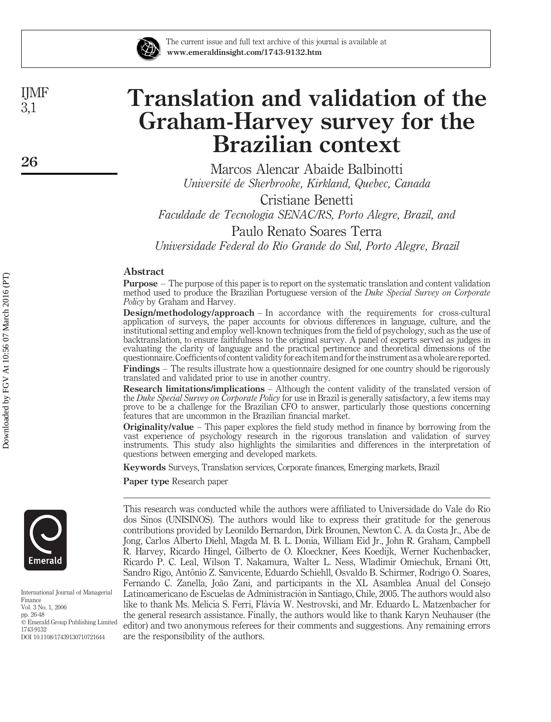

The current issue and full text archive of this journal is available at www.emeraldinsight.com/1743-9132.htm

IJMF 3,1

26

# Translation and validation of the Graham-Harvey survey for the Brazilian context

Marcos Alencar Abaide Balbinotti Université de Sherbrooke, Kirkland, Quebec, Canada

Cristiane Benetti Faculdade de Tecnologia SENAC/RS, Porto Alegre, Brazil, and Paulo Renato Soares Terra

Universidade Federal do Rio Grande do Sul, Porto Alegre, Brazil

#### Abstract

Purpose – The purpose of this paper is to report on the systematic translation and content validation method used to produce the Brazilian Portuguese version of the *Duke Special Survey on Corporate* Policy by Graham and Harvey.

Design/methodology/approach – In accordance with the requirements for cross-cultural application of surveys, the paper accounts for obvious differences in language, culture, and the institutional setting and employ well-known techniques from the field of psychology, such as the use of backtranslation, to ensure faithfulness to the original survey. A panel of experts served as judges in evaluating the clarity of language and the practical pertinence and theoretical dimensions of the questionnaire. Coefficients of content validity for each itemand for the instrument as a wholeare reported.

Findings – The results illustrate how a questionnaire designed for one country should be rigorously translated and validated prior to use in another country.

Research limitations/implications – Although the content validity of the translated version of the Duke Special Survey on Corporate Policy for use in Brazil is generally satisfactory, a few items may prove to be a challenge for the Brazilian CFO to answer, particularly those questions concerning features that are uncommon in the Brazilian financial market.

Originality/value – This paper explores the field study method in finance by borrowing from the vast experience of psychology research in the rigorous translation and validation of survey instruments. This study also highlights the similarities and differences in the interpretation of questions between emerging and developed markets.

Keywords Surveys, Translation services, Corporate finances, Emerging markets, Brazil

Paper type Research paper



International Journal of Managerial Finance Vol. 3 No. 1, 2006 pp. 26-48  $\degree$  Emerald Group Publishing Limited 1743-9132 DOI 10.1108/17439130710721644

This research was conducted while the authors were affiliated to Universidade do Vale do Rio dos Sinos (UNISINOS). The authors would like to express their gratitude for the generous contributions provided by Leonildo Bernardon, Dirk Brounen, Newton C. A. da Costa Jr., Abe de Jong, Carlos Alberto Diehl, Magda M. B. L. Donia, William Eid Jr., John R. Graham, Campbell R. Harvey, Ricardo Hingel, Gilberto de O. Kloeckner, Kees Koedijk, Werner Kuchenbacker, Ricardo P. C. Leal, Wilson T. Nakamura, Walter L. Ness, Wladimir Omiechuk, Ernani Ott, Sandro Rigo, Antônio Z. Sanvicente, Eduardo Schiehll, Osvaldo B. Schirmer, Rodrigo O. Soares, Fernando C. Zanella, João Zani, and participants in the XL Asamblea Anual del Consejo Latinoamericano de Escuelas de Administración in Santiago, Chile, 2005. The authors would also like to thank Ms. Melícia S. Ferri, Flávia W. Nestrovski, and Mr. Eduardo L. Matzenbacher for the general research assistance. Finally, the authors would like to thank Karyn Neuhauser (the editor) and two anonymous referees for their comments and suggestions. Any remaining errors are the responsibility of the authors.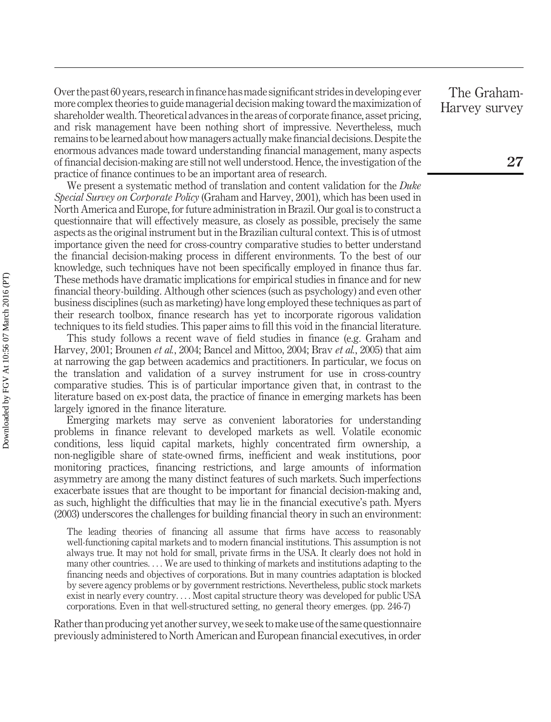Over the past 60 years, research in finance has made significant strides in developing ever more complex theories to guide managerial decision making toward the maximization of shareholder wealth. Theoretical advances in the areas of corporate finance, asset pricing, and risk management have been nothing short of impressive. Nevertheless, much remains to be learned about how managers actually make financial decisions. Despite the enormous advances made toward understanding financial management, many aspects of financial decision-making are still not well understood. Hence, the investigation of the practice of finance continues to be an important area of research.

We present a systematic method of translation and content validation for the *Duke* Special Survey on Corporate Policy (Graham and Harvey, 2001), which has been used in North America and Europe, for future administration in Brazil. Our goal is to construct a questionnaire that will effectively measure, as closely as possible, precisely the same aspects as the original instrument but in the Brazilian cultural context. This is of utmost importance given the need for cross-country comparative studies to better understand the financial decision-making process in different environments. To the best of our knowledge, such techniques have not been specifically employed in finance thus far. These methods have dramatic implications for empirical studies in finance and for new financial theory-building. Although other sciences (such as psychology) and even other business disciplines (such as marketing) have long employed these techniques as part of their research toolbox, finance research has yet to incorporate rigorous validation techniques to its field studies. This paper aims to fill this void in the financial literature.

This study follows a recent wave of field studies in finance (e.g. Graham and Harvey, 2001; Brounen *et al.*, 2004; Bancel and Mittoo, 2004; Brav *et al.*, 2005) that aim at narrowing the gap between academics and practitioners. In particular, we focus on the translation and validation of a survey instrument for use in cross-country comparative studies. This is of particular importance given that, in contrast to the literature based on ex-post data, the practice of finance in emerging markets has been largely ignored in the finance literature.

Emerging markets may serve as convenient laboratories for understanding problems in finance relevant to developed markets as well. Volatile economic conditions, less liquid capital markets, highly concentrated firm ownership, a non-negligible share of state-owned firms, inefficient and weak institutions, poor monitoring practices, financing restrictions, and large amounts of information asymmetry are among the many distinct features of such markets. Such imperfections exacerbate issues that are thought to be important for financial decision-making and, as such, highlight the difficulties that may lie in the financial executive's path. Myers (2003) underscores the challenges for building financial theory in such an environment:

The leading theories of financing all assume that firms have access to reasonably well-functioning capital markets and to modern financial institutions. This assumption is not always true. It may not hold for small, private firms in the USA. It clearly does not hold in many other countries. ... We are used to thinking of markets and institutions adapting to the financing needs and objectives of corporations. But in many countries adaptation is blocked by severe agency problems or by government restrictions. Nevertheless, public stock markets exist in nearly every country. ... Most capital structure theory was developed for public USA corporations. Even in that well-structured setting, no general theory emerges. (pp. 246-7)

Rather than producing yet another survey, we seek to make use of the same questionnaire previously administered to North American and European financial executives, in order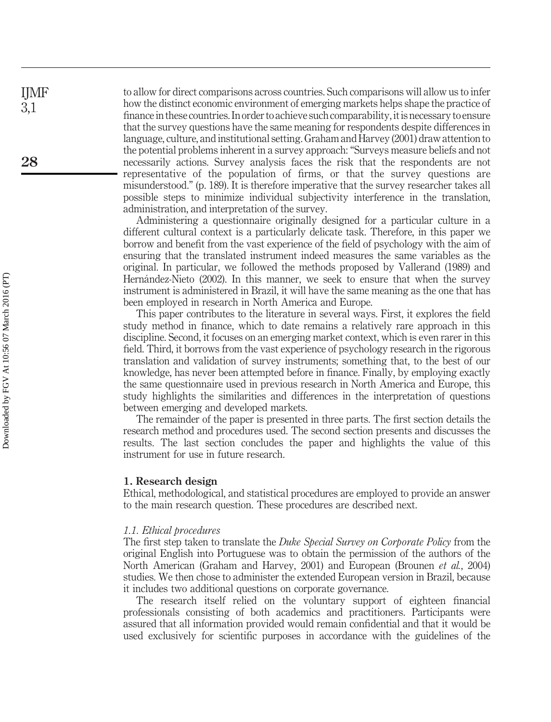to allow for direct comparisons across countries. Such comparisons will allow us to infer how the distinct economic environment of emerging markets helps shape the practice of finance in these countries. In order to achieve such comparability, it is necessary to ensure that the survey questions have the same meaning for respondents despite differences in language, culture, and institutional setting. Graham and Harvey (2001) draw attention to the potential problems inherent in a survey approach: "Surveys measure beliefs and not necessarily actions. Survey analysis faces the risk that the respondents are not representative of the population of firms, or that the survey questions are misunderstood." (p. 189). It is therefore imperative that the survey researcher takes all possible steps to minimize individual subjectivity interference in the translation, administration, and interpretation of the survey.

Administering a questionnaire originally designed for a particular culture in a different cultural context is a particularly delicate task. Therefore, in this paper we borrow and benefit from the vast experience of the field of psychology with the aim of ensuring that the translated instrument indeed measures the same variables as the original. In particular, we followed the methods proposed by Vallerand (1989) and Hernández-Nieto (2002). In this manner, we seek to ensure that when the survey instrument is administered in Brazil, it will have the same meaning as the one that has been employed in research in North America and Europe.

This paper contributes to the literature in several ways. First, it explores the field study method in finance, which to date remains a relatively rare approach in this discipline. Second, it focuses on an emerging market context, which is even rarer in this field. Third, it borrows from the vast experience of psychology research in the rigorous translation and validation of survey instruments; something that, to the best of our knowledge, has never been attempted before in finance. Finally, by employing exactly the same questionnaire used in previous research in North America and Europe, this study highlights the similarities and differences in the interpretation of questions between emerging and developed markets.

The remainder of the paper is presented in three parts. The first section details the research method and procedures used. The second section presents and discusses the results. The last section concludes the paper and highlights the value of this instrument for use in future research.

#### 1. Research design

Ethical, methodological, and statistical procedures are employed to provide an answer to the main research question. These procedures are described next.

#### 1.1. Ethical procedures

The first step taken to translate the *Duke Special Survey on Corporate Policy* from the original English into Portuguese was to obtain the permission of the authors of the North American (Graham and Harvey, 2001) and European (Brounen et al., 2004) studies. We then chose to administer the extended European version in Brazil, because it includes two additional questions on corporate governance.

The research itself relied on the voluntary support of eighteen financial professionals consisting of both academics and practitioners. Participants were assured that all information provided would remain confidential and that it would be used exclusively for scientific purposes in accordance with the guidelines of the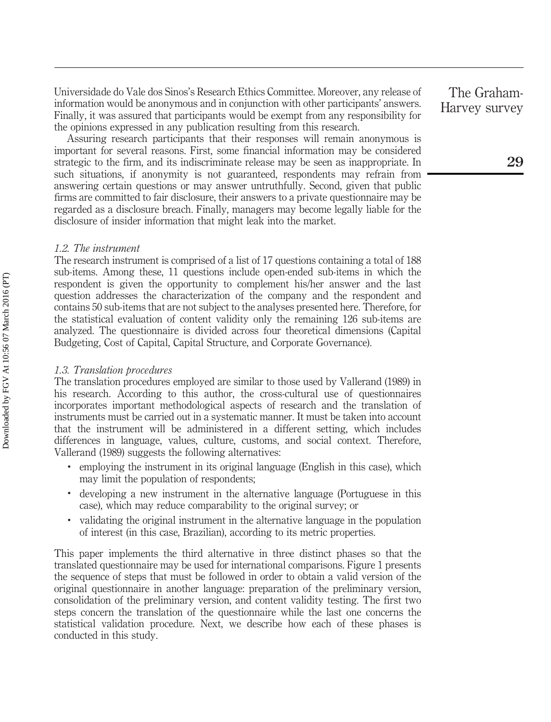Universidade do Vale dos Sinos's Research Ethics Committee. Moreover, any release of information would be anonymous and in conjunction with other participants' answers. Finally, it was assured that participants would be exempt from any responsibility for the opinions expressed in any publication resulting from this research.

Assuring research participants that their responses will remain anonymous is important for several reasons. First, some financial information may be considered strategic to the firm, and its indiscriminate release may be seen as inappropriate. In such situations, if anonymity is not guaranteed, respondents may refrain from answering certain questions or may answer untruthfully. Second, given that public firms are committed to fair disclosure, their answers to a private questionnaire may be regarded as a disclosure breach. Finally, managers may become legally liable for the disclosure of insider information that might leak into the market.

#### 1.2. The instrument

The research instrument is comprised of a list of 17 questions containing a total of 188 sub-items. Among these, 11 questions include open-ended sub-items in which the respondent is given the opportunity to complement his/her answer and the last question addresses the characterization of the company and the respondent and contains 50 sub-items that are not subject to the analyses presented here. Therefore, for the statistical evaluation of content validity only the remaining 126 sub-items are analyzed. The questionnaire is divided across four theoretical dimensions (Capital Budgeting, Cost of Capital, Capital Structure, and Corporate Governance).

#### 1.3. Translation procedures

The translation procedures employed are similar to those used by Vallerand (1989) in his research. According to this author, the cross-cultural use of questionnaires incorporates important methodological aspects of research and the translation of instruments must be carried out in a systematic manner. It must be taken into account that the instrument will be administered in a different setting, which includes differences in language, values, culture, customs, and social context. Therefore, Vallerand (1989) suggests the following alternatives:

- . employing the instrument in its original language (English in this case), which may limit the population of respondents;
- . developing a new instrument in the alternative language (Portuguese in this case), which may reduce comparability to the original survey; or
- . validating the original instrument in the alternative language in the population of interest (in this case, Brazilian), according to its metric properties.

This paper implements the third alternative in three distinct phases so that the translated questionnaire may be used for international comparisons. Figure 1 presents the sequence of steps that must be followed in order to obtain a valid version of the original questionnaire in another language: preparation of the preliminary version, consolidation of the preliminary version, and content validity testing. The first two steps concern the translation of the questionnaire while the last one concerns the statistical validation procedure. Next, we describe how each of these phases is conducted in this study.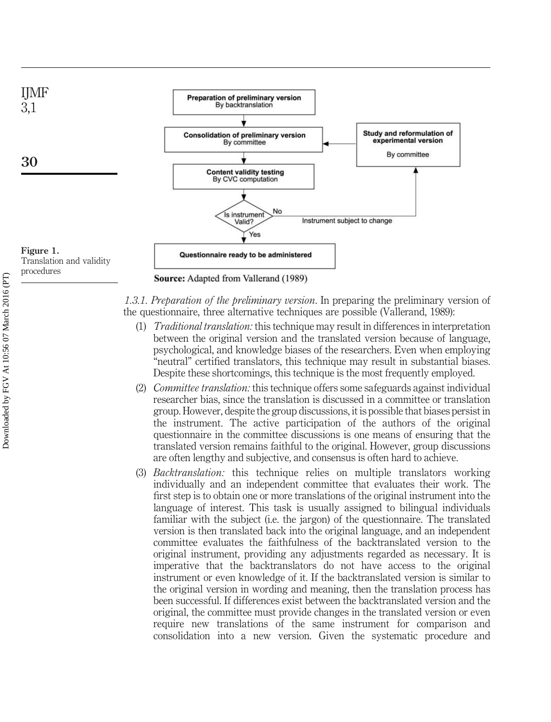

1.3.1. Preparation of the preliminary version. In preparing the preliminary version of the questionnaire, three alternative techniques are possible (Vallerand, 1989):

- (1) Traditional translation: this technique may result in differences in interpretation between the original version and the translated version because of language, psychological, and knowledge biases of the researchers. Even when employing "neutral" certified translators, this technique may result in substantial biases. Despite these shortcomings, this technique is the most frequently employed.
- (2) Committee translation: this technique offers some safeguards against individual researcher bias, since the translation is discussed in a committee or translation group. However, despite the group discussions, it is possible that biases persist in the instrument. The active participation of the authors of the original questionnaire in the committee discussions is one means of ensuring that the translated version remains faithful to the original. However, group discussions are often lengthy and subjective, and consensus is often hard to achieve.
- (3) Backtranslation: this technique relies on multiple translators working individually and an independent committee that evaluates their work. The first step is to obtain one or more translations of the original instrument into the language of interest. This task is usually assigned to bilingual individuals familiar with the subject (i.e. the jargon) of the questionnaire. The translated version is then translated back into the original language, and an independent committee evaluates the faithfulness of the backtranslated version to the original instrument, providing any adjustments regarded as necessary. It is imperative that the backtranslators do not have access to the original instrument or even knowledge of it. If the backtranslated version is similar to the original version in wording and meaning, then the translation process has been successful. If differences exist between the backtranslated version and the original, the committee must provide changes in the translated version or even require new translations of the same instrument for comparison and consolidation into a new version. Given the systematic procedure and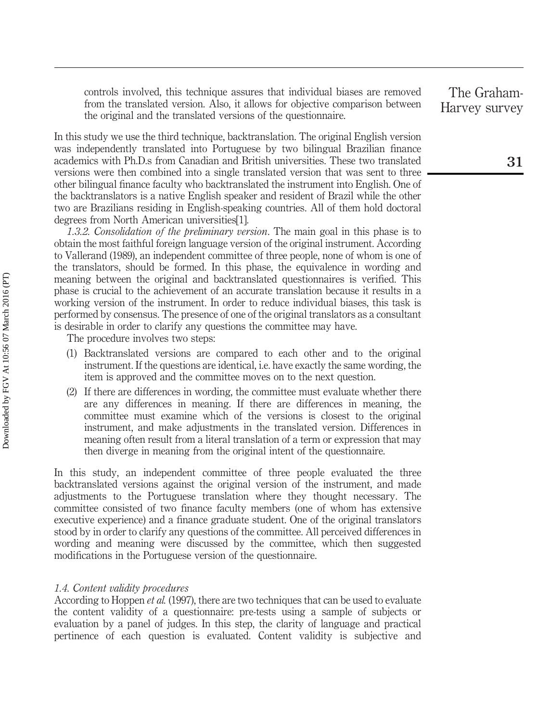controls involved, this technique assures that individual biases are removed from the translated version. Also, it allows for objective comparison between the original and the translated versions of the questionnaire.

In this study we use the third technique, backtranslation. The original English version was independently translated into Portuguese by two bilingual Brazilian finance academics with Ph.D.s from Canadian and British universities. These two translated versions were then combined into a single translated version that was sent to three other bilingual finance faculty who backtranslated the instrument into English. One of the backtranslators is a native English speaker and resident of Brazil while the other two are Brazilians residing in English-speaking countries. All of them hold doctoral degrees from North American universities[1].

1.3.2. Consolidation of the preliminary version. The main goal in this phase is to obtain the most faithful foreign language version of the original instrument. According to Vallerand (1989), an independent committee of three people, none of whom is one of the translators, should be formed. In this phase, the equivalence in wording and meaning between the original and backtranslated questionnaires is verified. This phase is crucial to the achievement of an accurate translation because it results in a working version of the instrument. In order to reduce individual biases, this task is performed by consensus. The presence of one of the original translators as a consultant is desirable in order to clarify any questions the committee may have.

The procedure involves two steps:

- (1) Backtranslated versions are compared to each other and to the original instrument. If the questions are identical, i.e. have exactly the same wording, the item is approved and the committee moves on to the next question.
- (2) If there are differences in wording, the committee must evaluate whether there are any differences in meaning. If there are differences in meaning, the committee must examine which of the versions is closest to the original instrument, and make adjustments in the translated version. Differences in meaning often result from a literal translation of a term or expression that may then diverge in meaning from the original intent of the questionnaire.

In this study, an independent committee of three people evaluated the three backtranslated versions against the original version of the instrument, and made adjustments to the Portuguese translation where they thought necessary. The committee consisted of two finance faculty members (one of whom has extensive executive experience) and a finance graduate student. One of the original translators stood by in order to clarify any questions of the committee. All perceived differences in wording and meaning were discussed by the committee, which then suggested modifications in the Portuguese version of the questionnaire.

#### 1.4. Content validity procedures

According to Hoppen *et al.* (1997), there are two techniques that can be used to evaluate the content validity of a questionnaire: pre-tests using a sample of subjects or evaluation by a panel of judges. In this step, the clarity of language and practical pertinence of each question is evaluated. Content validity is subjective and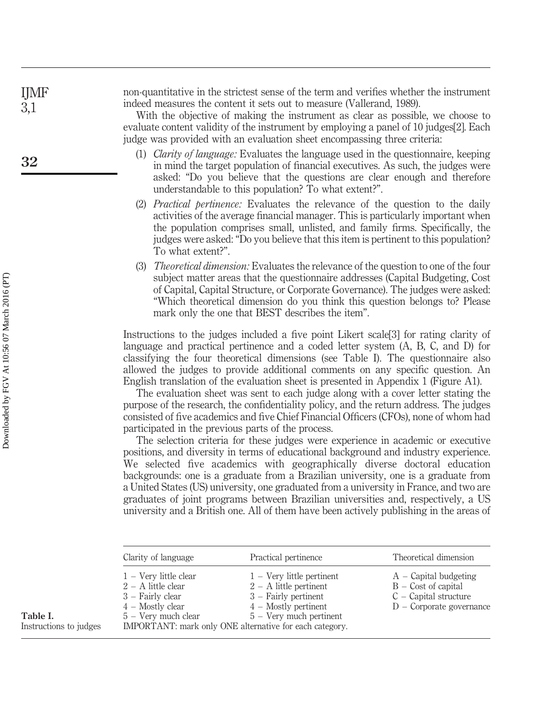non-quantitative in the strictest sense of the term and verifies whether the instrument indeed measures the content it sets out to measure (Vallerand, 1989).

With the objective of making the instrument as clear as possible, we choose to evaluate content validity of the instrument by employing a panel of 10 judges[2]. Each judge was provided with an evaluation sheet encompassing three criteria:

- (1) Clarity of language: Evaluates the language used in the questionnaire, keeping in mind the target population of financial executives. As such, the judges were asked: "Do you believe that the questions are clear enough and therefore understandable to this population? To what extent?".
- (2) Practical pertinence: Evaluates the relevance of the question to the daily activities of the average financial manager. This is particularly important when the population comprises small, unlisted, and family firms. Specifically, the judges were asked: "Do you believe that this item is pertinent to this population? To what extent?".
- (3) Theoretical dimension: Evaluates the relevance of the question to one of the four subject matter areas that the questionnaire addresses (Capital Budgeting, Cost of Capital, Capital Structure, or Corporate Governance). The judges were asked: "Which theoretical dimension do you think this question belongs to? Please mark only the one that BEST describes the item".

Instructions to the judges included a five point Likert scale[3] for rating clarity of language and practical pertinence and a coded letter system (A, B, C, and D) for classifying the four theoretical dimensions (see Table I). The questionnaire also allowed the judges to provide additional comments on any specific question. An English translation of the evaluation sheet is presented in Appendix 1 (Figure A1).

The evaluation sheet was sent to each judge along with a cover letter stating the purpose of the research, the confidentiality policy, and the return address. The judges consisted of five academics and five Chief Financial Officers (CFOs), none of whom had participated in the previous parts of the process.

The selection criteria for these judges were experience in academic or executive positions, and diversity in terms of educational background and industry experience. We selected five academics with geographically diverse doctoral education backgrounds: one is a graduate from a Brazilian university, one is a graduate from a United States (US) university, one graduated from a university in France, and two are graduates of joint programs between Brazilian universities and, respectively, a US university and a British one. All of them have been actively publishing in the areas of

|                           | Clarity of language                                                                                                                                                           | Practical pertinence                                                                                                                            | Theoretical dimension                                                                                            |
|---------------------------|-------------------------------------------------------------------------------------------------------------------------------------------------------------------------------|-------------------------------------------------------------------------------------------------------------------------------------------------|------------------------------------------------------------------------------------------------------------------|
| le L<br>uctions to judges | $1 -$ Very little clear<br>$2 - A$ little clear<br>$3$ – Fairly clear<br>$4$ – Mostly clear<br>5 – Very much clear<br>IMPORTANT: mark only ONE alternative for each category. | $1 -$ Very little pertinent<br>$2 - A$ little pertinent<br>$3 -$ Fairly pertinent<br>$4$ – Mostly pertinent<br>$5 - \text{Very much pertinent}$ | $A - Capital budgeting$<br>$B - \text{Cost of capital}$<br>$C - Capital$ structure<br>$D$ – Corporate governance |

IJMF 3,1

Tabl Instr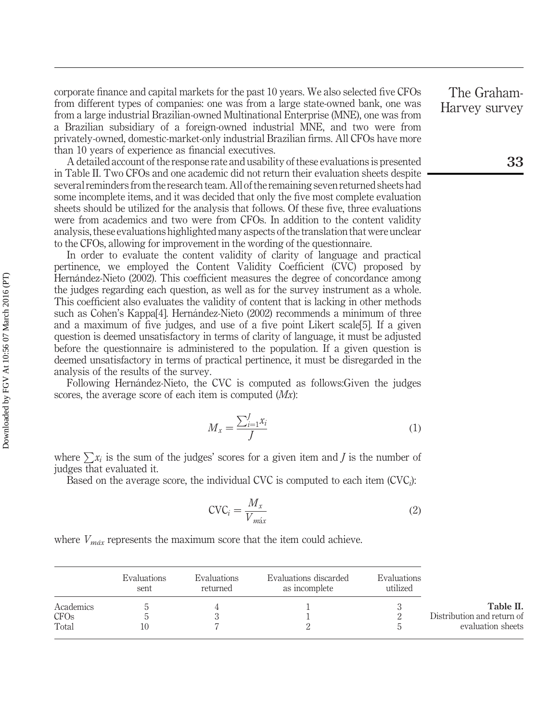corporate finance and capital markets for the past 10 years. We also selected five CFOs from different types of companies: one was from a large state-owned bank, one was from a large industrial Brazilian-owned Multinational Enterprise (MNE), one was from a Brazilian subsidiary of a foreign-owned industrial MNE, and two were from privately-owned, domestic-market-only industrial Brazilian firms. All CFOs have more than 10 years of experience as financial executives.

A detailed account of the response rate and usability of these evaluations is presented in Table II. Two CFOs and one academic did not return their evaluation sheets despite several reminders from the research team. All of the remaining seven returned sheets had some incomplete items, and it was decided that only the five most complete evaluation sheets should be utilized for the analysis that follows. Of these five, three evaluations were from academics and two were from CFOs. In addition to the content validity analysis, these evaluations highlighted many aspects of the translation that were unclear to the CFOs, allowing for improvement in the wording of the questionnaire.

In order to evaluate the content validity of clarity of language and practical pertinence, we employed the Content Validity Coefficient (CVC) proposed by Hernández-Nieto (2002). This coefficient measures the degree of concordance among the judges regarding each question, as well as for the survey instrument as a whole. This coefficient also evaluates the validity of content that is lacking in other methods such as Cohen's Kappa<sup>[4]</sup>. Hernández-Nieto (2002) recommends a minimum of three and a maximum of five judges, and use of a five point Likert scale[5]. If a given question is deemed unsatisfactory in terms of clarity of language, it must be adjusted before the questionnaire is administered to the population. If a given question is deemed unsatisfactory in terms of practical pertinence, it must be disregarded in the analysis of the results of the survey.

Following Hernández-Nieto, the CVC is computed as follows:Given the judges scores, the average score of each item is computed  $(Mx)$ :

$$
M_x = \frac{\sum_{i=1}^{J} x_i}{J} \tag{1}
$$

where  $\sum x_i$  is the sum of the judges' scores for a given item and *J* is the number of judges that evaluated it.

Based on the average score, the individual CVC is computed to each item  $(CVC_i)$ :

$$
CVC_i = \frac{M_x}{V_{m\acute{a}x}}\tag{2}
$$

where  $V_{\text{max}}$  represents the maximum score that the item could achieve.

|                  | Evaluations<br>sent | Evaluations<br>returned | Evaluations discarded<br>as incomplete | Evaluations<br>utilized |                            |
|------------------|---------------------|-------------------------|----------------------------------------|-------------------------|----------------------------|
| Academics        |                     |                         |                                        |                         | Table II.                  |
| CFO <sub>s</sub> |                     |                         |                                        |                         | Distribution and return of |
| Total            | 10                  |                         |                                        |                         | evaluation sheets          |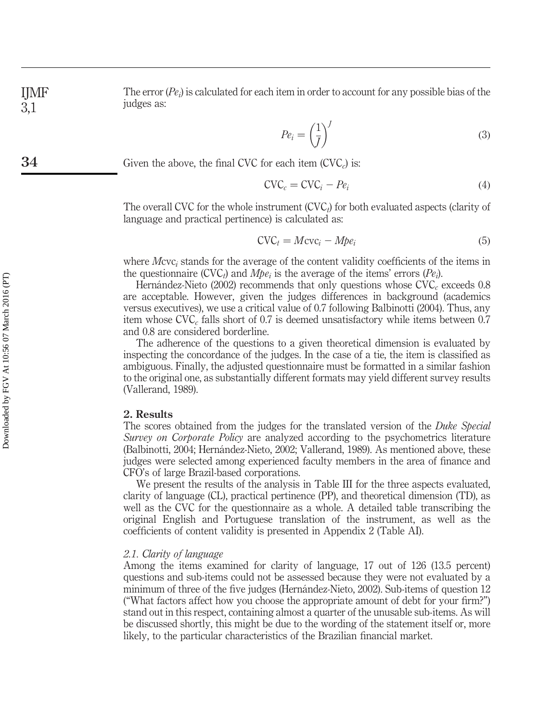The error  $(Pe_i)$  is calculated for each item in order to account for any possible bias of the judges as:

$$
Pe_i = \left(\frac{1}{J}\right)^J \tag{3}
$$

Given the above, the final CVC for each item  $(CVC<sub>c</sub>)$  is:

$$
CVC_c = CVC_i - Pe_i \tag{4}
$$

The overall CVC for the whole instrument  $(CVC<sub>t</sub>)$  for both evaluated aspects (clarity of language and practical pertinence) is calculated as:

$$
CVCt = Mcvci - Mpei
$$
 (5)

where  $Mcvc_i$  stands for the average of the content validity coefficients of the items in the questionnaire (CVC<sub>t</sub>) and *Mpe<sub>i</sub>* is the average of the items' errors (*Pe<sub>i</sub>*).

Hernández-Nieto (2002) recommends that only questions whose  $\text{CVC}_c$  exceeds 0.8 are acceptable. However, given the judges differences in background (academics versus executives), we use a critical value of 0.7 following Balbinotti (2004). Thus, any item whose  $\text{CVC}_c$  falls short of 0.7 is deemed unsatisfactory while items between 0.7 and 0.8 are considered borderline.

The adherence of the questions to a given theoretical dimension is evaluated by inspecting the concordance of the judges. In the case of a tie, the item is classified as ambiguous. Finally, the adjusted questionnaire must be formatted in a similar fashion to the original one, as substantially different formats may yield different survey results (Vallerand, 1989).

#### 2. Results

The scores obtained from the judges for the translated version of the *Duke Special* Survey on Corporate Policy are analyzed according to the psychometrics literature (Balbinotti, 2004; Herna´ndez-Nieto, 2002; Vallerand, 1989). As mentioned above, these judges were selected among experienced faculty members in the area of finance and CFO's of large Brazil-based corporations.

We present the results of the analysis in Table III for the three aspects evaluated, clarity of language (CL), practical pertinence (PP), and theoretical dimension (TD), as well as the CVC for the questionnaire as a whole. A detailed table transcribing the original English and Portuguese translation of the instrument, as well as the coefficients of content validity is presented in Appendix 2 (Table AI).

#### 2.1. Clarity of language

Among the items examined for clarity of language, 17 out of 126 (13.5 percent) questions and sub-items could not be assessed because they were not evaluated by a minimum of three of the five judges (Hernandez-Nieto, 2002). Sub-items of question 12 ("What factors affect how you choose the appropriate amount of debt for your firm?") stand out in this respect, containing almost a quarter of the unusable sub-items. As will be discussed shortly, this might be due to the wording of the statement itself or, more likely, to the particular characteristics of the Brazilian financial market.

IJMF 3,1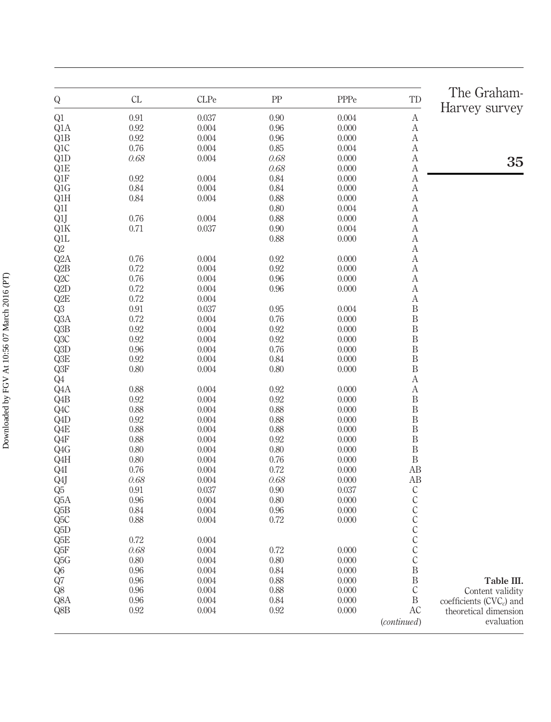| Q                         | CL       | CLPe  | PP       | PPPe      | TD             | The Graham-               |
|---------------------------|----------|-------|----------|-----------|----------------|---------------------------|
| Q1                        | 0.91     | 0.037 | 0.90     | 0.004     | А              | Harvey survey             |
| Q1A                       | 0.92     | 0.004 | 0.96     | 0.000     | А              |                           |
| Q1B                       | 0.92     | 0.004 | 0.96     | 0.000     | А              |                           |
|                           |          |       |          |           |                |                           |
| Q1C                       | 0.76     | 0.004 | 0.85     | 0.004     | А              |                           |
| Q1D                       | 0.68     | 0.004 | 0.68     | 0.000     | А              | 35                        |
| Q1E                       |          |       | 0.68     | 0.000     | А              |                           |
| Q1F                       | 0.92     | 0.004 | 0.84     | 0.000     | А              |                           |
| Q1G                       | 0.84     | 0.004 | 0.84     | 0.000     | А              |                           |
| Q1H                       | 0.84     | 0.004 | 0.88     | 0.000     | А              |                           |
| Q1I                       |          |       | 0.80     | 0.004     | А              |                           |
| Q1J                       | 0.76     | 0.004 | 0.88     | 0.000     | А              |                           |
| Q1K                       | 0.71     | 0.037 | 0.90     | 0.004     | А              |                           |
| Q1L                       |          |       | 0.88     | 0.000     | А              |                           |
| $\mathrm{Q}2$             |          |       |          |           | А              |                           |
| Q <sub>2</sub> A          | 0.76     | 0.004 | 0.92     | 0.000     | А              |                           |
| Q2B                       | 0.72     | 0.004 | 0.92     | 0.000     | А              |                           |
| Q <sub>2</sub> C          | 0.76     | 0.004 | 0.96     | 0.000     | А              |                           |
| $\rm Q2D$                 | 0.72     | 0.004 | 0.96     | 0.000     | А              |                           |
| Q <sub>2</sub> E          | 0.72     | 0.004 |          |           | А              |                           |
|                           |          |       |          | 0.004     | $\, {\bf B}$   |                           |
| Q3                        | 0.91     | 0.037 | 0.95     |           |                |                           |
| Q3A                       | 0.72     | 0.004 | 0.76     | 0.000     | $\, {\bf B}$   |                           |
| Q3B                       | 0.92     | 0.004 | 0.92     | 0.000     | $\, {\bf B}$   |                           |
| Q3C                       | 0.92     | 0.004 | 0.92     | 0.000     | $\, {\bf B}$   |                           |
| Q3D                       | $0.96\,$ | 0.004 | 0.76     | 0.000     | $\, {\bf B}$   |                           |
| Q3E                       | 0.92     | 0.004 | 0.84     | 0.000     | $\, {\bf B}$   |                           |
| Q3F                       | 0.80     | 0.004 | 0.80     | 0.000     | $\, {\bf B}$   |                           |
| Q <sub>4</sub>            |          |       |          |           | А              |                           |
| Q4A                       | 0.88     | 0.004 | 0.92     | 0.000     | А              |                           |
| Q4B                       | $0.92\,$ | 0.004 | 0.92     | 0.000     | $\, {\bf B}$   |                           |
| Q4C                       | 0.88     | 0.004 | 0.88     | 0.000     | $\, {\bf B}$   |                           |
| Q4D                       | $0.92\,$ | 0.004 | 0.88     | 0.000     | $\, {\bf B}$   |                           |
| $\ensuremath{\text{Q4E}}$ | 0.88     | 0.004 | 0.88     | 0.000     | $\, {\bf B}$   |                           |
| Q4F                       | $0.88\,$ | 0.004 | 0.92     | 0.000     | $\, {\bf B}$   |                           |
| Q4G                       | $0.80\,$ | 0.004 | 0.80     | 0.000     | $\, {\bf B}$   |                           |
| Q4H                       | 0.80     | 0.004 | 0.76     | 0.000     | $\, {\bf B}$   |                           |
|                           |          |       |          |           | $\rm AB$       |                           |
| Q4I                       | 0.76     | 0.004 | 0.72     | 0.000     |                |                           |
| ${\rm Q4J}$               | 0.68     | 0.004 | 0.68     | 0.000     | AB             |                           |
| Q5                        | 0.91     | 0.037 | 0.90     | 0.037     | $\mathsf C$    |                           |
| Q5A                       | 0.96     | 0.004 | 0.80     | 0.000     | $\mathsf C$    |                           |
| Q <sub>5</sub> B          | 0.84     | 0.004 | 0.96     | 0.000     | $\mathsf C$    |                           |
| Q <sub>5</sub> C          | 0.88     | 0.004 | 0.72     | 0.000     | $\mathsf C$    |                           |
| Q <sub>5</sub> D          |          |       |          |           | $\mathsf C$    |                           |
| Q <sub>5</sub> E          | 0.72     | 0.004 |          |           | $\overline{C}$ |                           |
| $\ensuremath{\text{Q5F}}$ | $0.68\,$ | 0.004 | $0.72\,$ | $0.000\,$ | $\mathsf C$    |                           |
| Q5G                       | 0.80     | 0.004 | 0.80     | 0.000     | $\mathsf C$    |                           |
| Q <sub>6</sub>            | $0.96\,$ | 0.004 | 0.84     | 0.000     | B              |                           |
| Q7                        | 0.96     | 0.004 | 0.88     | 0.000     | B              | Table III.                |
| Q8                        | 0.96     | 0.004 | 0.88     | 0.000     | $\mathsf C$    | Content validity          |
| Q8A                       | $0.96\,$ | 0.004 | 0.84     | 0.000     | B              | coefficients $(CVCc)$ and |
| Q8B                       | 0.92     | 0.004 | 0.92     | 0.000     | AC             | theoretical dimension     |
|                           |          |       |          |           |                |                           |
|                           |          |       |          |           | (continued)    | evaluation                |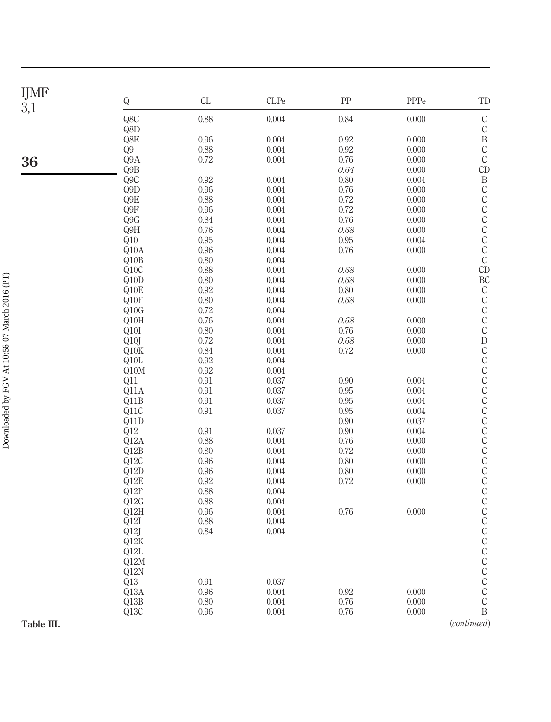| IJMF<br>3,1 | Q                 | CL         | <b>CLPe</b> | ${\rm PP}$ | PPPe  | TD                        |
|-------------|-------------------|------------|-------------|------------|-------|---------------------------|
|             | Q8C               | 0.88       | 0.004       | 0.84       | 0.000 | $\mathsf C$               |
|             | Q8D               |            |             |            |       | $\mathsf C$               |
|             | Q8E               | 0.96       | 0.004       | 0.92       | 0.000 | $\overline{B}$            |
|             | ${\rm Q}9$        | 0.88       | 0.004       | 0.92       | 0.000 |                           |
| 36          | Q9A               | 0.72       | 0.004       | 0.76       | 0.000 | $\frac{C}{C}$             |
|             | Q9B               |            |             | 0.64       | 0.000 | CD                        |
|             | Q9C               | 0.92       | 0.004       | 0.80       | 0.004 | $\, {\bf B}$              |
|             | Q9D               | 0.96       | 0.004       | 0.76       | 0.000 | $\mathcal{C}$             |
|             | Q9E               | 0.88       | 0.004       | 0.72       | 0.000 |                           |
|             | Q9F               | 0.96       | 0.004       | 0.72       | 0.000 | $C$<br>$C$<br>$C$         |
|             | Q9G               | 0.84       | 0.004       | 0.76       | 0.000 |                           |
|             | Q9H               | $0.76\,$   | 0.004       | 0.68       | 0.000 |                           |
|             | Q10               | 0.95       | 0.004       | 0.95       | 0.004 |                           |
|             | Q10A              | 0.96       | 0.004       | 0.76       | 0.000 | $\overline{C}$            |
|             | Q10B              | 0.80       | 0.004       |            |       | $\mathcal{C}$             |
|             | Q10C              | 0.88       | 0.004       | 0.68       | 0.000 | CD                        |
|             | Q10D              | 0.80       | 0.004       | 0.68       | 0.000 | $\operatorname{BC}$       |
|             | Q10E              | 0.92       | 0.004       | 0.80       | 0.000 | $\mathsf C$               |
|             | Q10F              | 0.80       | 0.004       | 0.68       | 0.000 |                           |
|             | Q10G              | 0.72       | 0.004       |            |       |                           |
|             | Q10H              | 0.76       | 0.004       | 0.68       | 0.000 | $C$<br>$C$<br>$C$         |
|             | Q10I              | $0.80\,$   | 0.004       | 0.76       | 0.000 |                           |
|             | Q10J              | 0.72       | 0.004       | 0.68       | 0.000 | $\label{eq:1} \mathbf{D}$ |
|             | Q10K              | 0.84       | 0.004       | $0.72\,$   | 0.000 | $\mathcal{C}$             |
|             | Q10L              | 0.92       | 0.004       |            |       |                           |
|             | Q10M              | 0.92       | 0.004       |            |       |                           |
|             | Q11               | 0.91       | 0.037       | 0.90       | 0.004 |                           |
|             | Q11A              | 0.91       | 0.037       | 0.95       | 0.004 |                           |
|             | Q11B              | 0.91       | 0.037       | 0.95       | 0.004 |                           |
|             | Q11C              | 0.91       | 0.037       | 0.95       | 0.004 |                           |
|             | Q11D              |            |             | 0.90       | 0.037 |                           |
|             | Q12               | 0.91       | 0.037       | 0.90       | 0.004 |                           |
|             | Q12A              | 0.88       | 0.004       | 0.76       | 0.000 |                           |
|             | Q12B              | 0.80       | 0.004       | 0.72       | 0.000 |                           |
|             | Q12C              | 0.96       | 0.004       | 0.80       | 0.000 |                           |
|             |                   | 0.96       | 0.004       | 0.80       | 0.000 |                           |
|             | Q12D<br>Q12E      | 0.92       | 0.004       | 0.72       |       | CCCCCCCCCCCCCCCCCCCC      |
|             | Q12F              | 0.88       |             |            | 0.000 |                           |
|             | Q12G              |            | 0.004       |            |       |                           |
|             |                   | 0.88       | 0.004       |            |       |                           |
|             | Q12H              | 0.96       | 0.004       | 0.76       | 0.000 |                           |
|             | Q12I              | 0.88       | 0.004       |            |       |                           |
|             | Q12J              | 0.84       | 0.004       |            |       | $\mathcal{C}$             |
|             | Q12K              |            |             |            |       |                           |
|             | $\overline{Q}12L$ |            |             |            |       |                           |
|             | Q12M              |            |             |            |       |                           |
|             | Q12N              |            |             |            |       | $C$<br>$C$<br>$C$         |
|             | Q13               | $\rm 0.91$ | 0.037       |            |       |                           |
|             | $Q$ 13A           | 0.96       | 0.004       | 0.92       | 0.000 | $\overline{C}$            |
|             | Q13B              | 0.80       | 0.004       | 0.76       | 0.000 | $\mathsf C$               |
|             | Q13C              | 0.96       | 0.004       | $0.76\,$   | 0.000 | $\mathbf B$               |
| Table III.  |                   |            |             |            |       | (continued)               |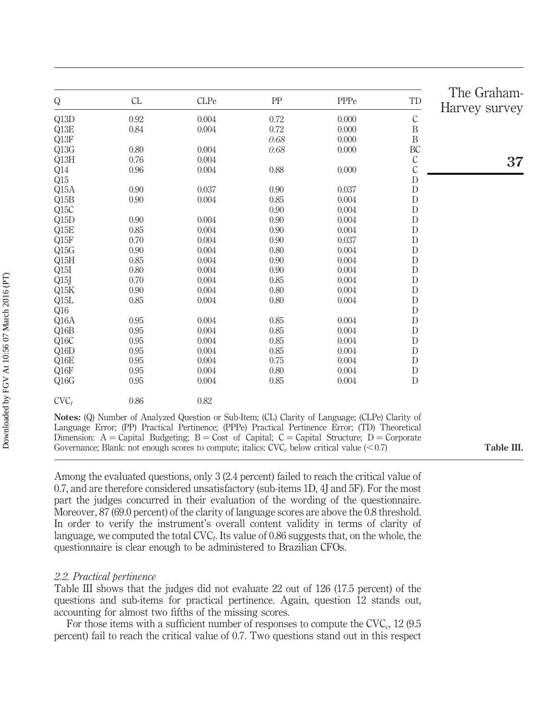| Q                 | CL   | <b>CLPe</b> | PP   | PPPe  | TD                  |
|-------------------|------|-------------|------|-------|---------------------|
| Q13D              | 0.92 | 0.004       | 0.72 | 0.000 | C                   |
| Q13E              | 0.84 | 0.004       | 0.72 | 0.000 | $\, {\bf B}$        |
| Q13F              |      |             | 0.68 | 0.000 | $\, {\bf B}$        |
| Q13G              | 0.80 | 0.004       | 0.68 | 0.000 | $\operatorname{BC}$ |
| Q13H              | 0.76 | 0.004       |      |       | $\mathsf C$         |
| Q14               | 0.96 | 0.004       | 0.88 | 0.000 | $\mathcal{C}$       |
| Q15               |      |             |      |       | D                   |
| Q15A              | 0.90 | 0.037       | 0.90 | 0.037 | D                   |
| Q15B              | 0.90 | 0.004       | 0.85 | 0.004 | D                   |
| Q <sub>15</sub> C |      |             | 0.90 | 0.004 | D                   |
| Q15D              | 0.90 | 0.004       | 0.90 | 0.004 | D                   |
| Q15E              | 0.85 | 0.004       | 0.90 | 0.004 | D                   |
| Q15F              | 0.70 | 0.004       | 0.90 | 0.037 | D                   |
| Q15G              | 0.90 | 0.004       | 0.80 | 0.004 | D                   |
| Q15H              | 0.85 | 0.004       | 0.90 | 0.004 | D                   |
| Q15I              | 0.80 | 0.004       | 0.90 | 0.004 | D                   |
| Q15J              | 0.70 | 0.004       | 0.85 | 0.004 | D                   |
| Q15K              | 0.90 | 0.004       | 0.80 | 0.004 | D                   |
| Q15L              | 0.85 | 0.004       | 0.80 | 0.004 | D                   |
| Q16               |      |             |      |       | D                   |
| Q16A              | 0.95 | 0.004       | 0.85 | 0.004 | D                   |
| Q16B              | 0.95 | 0.004       | 0.85 | 0.004 | D                   |
| Q <sub>16</sub> C | 0.95 | 0.004       | 0.85 | 0.004 | D                   |
| Q16D              | 0.95 | 0.004       | 0.85 | 0.004 | D                   |
| Q16E              | 0.95 | 0.004       | 0.75 | 0.004 | D                   |
| Q16F              | 0.95 | 0.004       | 0.80 | 0.004 | D                   |
| Q16G              | 0.95 | 0.004       | 0.85 | 0.004 | D                   |
| $CVC_t$           | 0.86 | 0.82        |      |       |                     |

The Graham-Harvey survey

37

Among the evaluated questions, only 3 (2.4 percent) failed to reach the critical value of 0.7, and are therefore considered unsatisfactory (sub-items 1D, 4J and 5F). For the most part the judges concurred in their evaluation of the wording of the questionnaire. Moreover, 87 (69.0 percent) of the clarity of language scores are above the 0.8 threshold. In order to verify the instrument's overall content validity in terms of clarity of language, we computed the total  $CVC_t$ . Its value of 0.86 suggests that, on the whole, the questionnaire is clear enough to be administered to Brazilian CFOs.

Governance; Blank: not enough scores to compute; italics:  $\text{CVC}_c$  below critical value (<0.7) **Table III.** Table III.

#### 2.2. Practical pertinence

Table III shows that the judges did not evaluate 22 out of 126 (17.5 percent) of the questions and sub-items for practical pertinence. Again, question 12 stands out, accounting for almost two fifths of the missing scores.

For those items with a sufficient number of responses to compute the  $\text{CVC}_c$ , 12 (9.5) percent) fail to reach the critical value of 0.7. Two questions stand out in this respect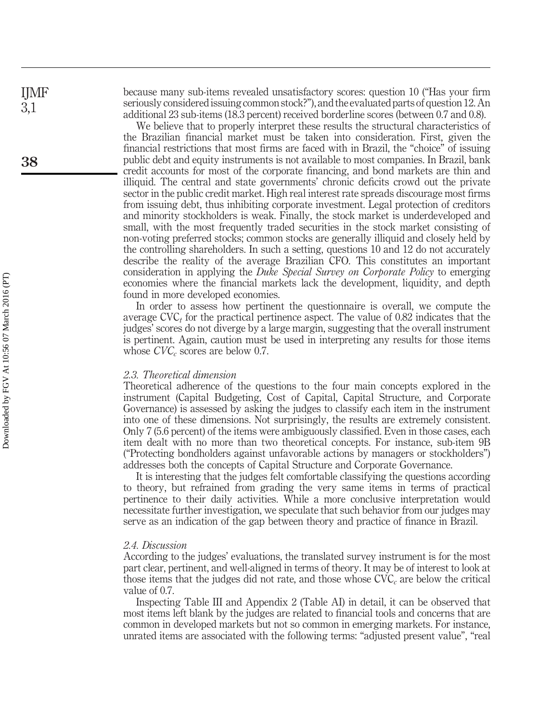because many sub-items revealed unsatisfactory scores: question 10 ("Has your firm seriously considered issuing common stock?"), and the evaluated parts of question 12. An additional 23 sub-items (18.3 percent) received borderline scores (between 0.7 and 0.8).

We believe that to properly interpret these results the structural characteristics of the Brazilian financial market must be taken into consideration. First, given the financial restrictions that most firms are faced with in Brazil, the "choice" of issuing public debt and equity instruments is not available to most companies. In Brazil, bank credit accounts for most of the corporate financing, and bond markets are thin and illiquid. The central and state governments' chronic deficits crowd out the private sector in the public credit market. High real interest rate spreads discourage most firms from issuing debt, thus inhibiting corporate investment. Legal protection of creditors and minority stockholders is weak. Finally, the stock market is underdeveloped and small, with the most frequently traded securities in the stock market consisting of non-voting preferred stocks; common stocks are generally illiquid and closely held by the controlling shareholders. In such a setting, questions 10 and 12 do not accurately describe the reality of the average Brazilian CFO. This constitutes an important consideration in applying the Duke Special Survey on Corporate Policy to emerging economies where the financial markets lack the development, liquidity, and depth found in more developed economies.

In order to assess how pertinent the questionnaire is overall, we compute the average  $\text{CVC}_t$  for the practical pertinence aspect. The value of 0.82 indicates that the judges' scores do not diverge by a large margin, suggesting that the overall instrument is pertinent. Again, caution must be used in interpreting any results for those items whose  $CVC_c$  scores are below 0.7.

#### 2.3. Theoretical dimension

Theoretical adherence of the questions to the four main concepts explored in the instrument (Capital Budgeting, Cost of Capital, Capital Structure, and Corporate Governance) is assessed by asking the judges to classify each item in the instrument into one of these dimensions. Not surprisingly, the results are extremely consistent. Only 7 (5.6 percent) of the items were ambiguously classified. Even in those cases, each item dealt with no more than two theoretical concepts. For instance, sub-item 9B ("Protecting bondholders against unfavorable actions by managers or stockholders") addresses both the concepts of Capital Structure and Corporate Governance.

It is interesting that the judges felt comfortable classifying the questions according to theory, but refrained from grading the very same items in terms of practical pertinence to their daily activities. While a more conclusive interpretation would necessitate further investigation, we speculate that such behavior from our judges may serve as an indication of the gap between theory and practice of finance in Brazil.

#### 2.4. Discussion

According to the judges' evaluations, the translated survey instrument is for the most part clear, pertinent, and well-aligned in terms of theory. It may be of interest to look at those items that the judges did not rate, and those whose  $\text{CVC}_c$  are below the critical value of 0.7.

Inspecting Table III and Appendix 2 (Table AI) in detail, it can be observed that most items left blank by the judges are related to financial tools and concerns that are common in developed markets but not so common in emerging markets. For instance, unrated items are associated with the following terms: "adjusted present value", "real

IJMF 3,1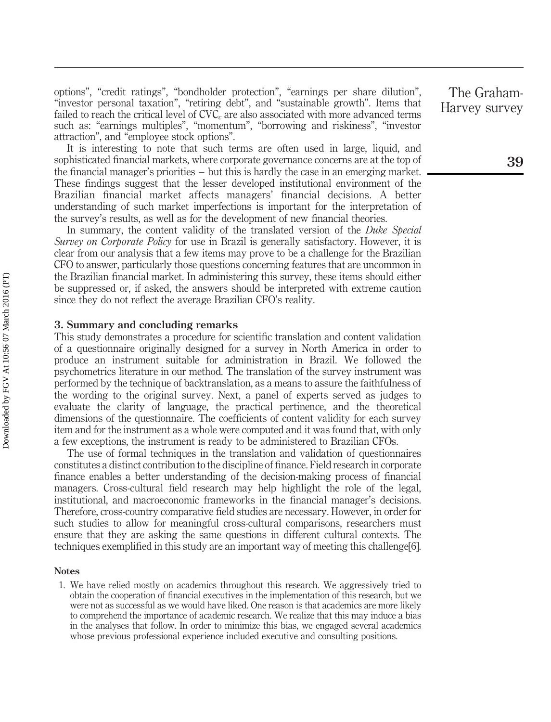options", "credit ratings", "bondholder protection", "earnings per share dilution", "investor personal taxation", "retiring debt", and "sustainable growth". Items that failed to reach the critical level of  $\text{CVC}_c$  are also associated with more advanced terms such as: "earnings multiples", "momentum", "borrowing and riskiness", "investor attraction", and "employee stock options".

It is interesting to note that such terms are often used in large, liquid, and sophisticated financial markets, where corporate governance concerns are at the top of the financial manager's priorities – but this is hardly the case in an emerging market. These findings suggest that the lesser developed institutional environment of the Brazilian financial market affects managers' financial decisions. A better understanding of such market imperfections is important for the interpretation of the survey's results, as well as for the development of new financial theories.

In summary, the content validity of the translated version of the *Duke Special* Survey on Corporate Policy for use in Brazil is generally satisfactory. However, it is clear from our analysis that a few items may prove to be a challenge for the Brazilian CFO to answer, particularly those questions concerning features that are uncommon in the Brazilian financial market. In administering this survey, these items should either be suppressed or, if asked, the answers should be interpreted with extreme caution since they do not reflect the average Brazilian CFO's reality.

#### 3. Summary and concluding remarks

This study demonstrates a procedure for scientific translation and content validation of a questionnaire originally designed for a survey in North America in order to produce an instrument suitable for administration in Brazil. We followed the psychometrics literature in our method. The translation of the survey instrument was performed by the technique of backtranslation, as a means to assure the faithfulness of the wording to the original survey. Next, a panel of experts served as judges to evaluate the clarity of language, the practical pertinence, and the theoretical dimensions of the questionnaire. The coefficients of content validity for each survey item and for the instrument as a whole were computed and it was found that, with only a few exceptions, the instrument is ready to be administered to Brazilian CFOs.

The use of formal techniques in the translation and validation of questionnaires constitutes a distinct contribution to the discipline of finance. Field research in corporate finance enables a better understanding of the decision-making process of financial managers. Cross-cultural field research may help highlight the role of the legal, institutional, and macroeconomic frameworks in the financial manager's decisions. Therefore, cross-country comparative field studies are necessary. However, in order for such studies to allow for meaningful cross-cultural comparisons, researchers must ensure that they are asking the same questions in different cultural contexts. The techniques exemplified in this study are an important way of meeting this challenge[6].

#### Notes

1. We have relied mostly on academics throughout this research. We aggressively tried to obtain the cooperation of financial executives in the implementation of this research, but we were not as successful as we would have liked. One reason is that academics are more likely to comprehend the importance of academic research. We realize that this may induce a bias in the analyses that follow. In order to minimize this bias, we engaged several academics whose previous professional experience included executive and consulting positions.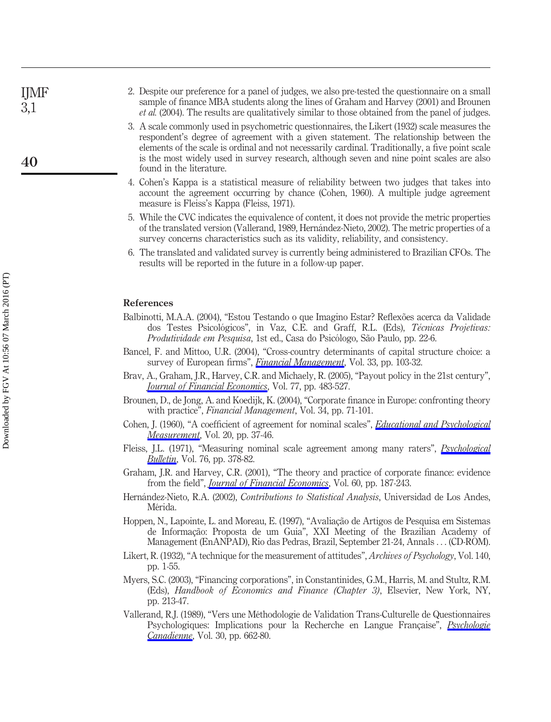| <b>IJMF</b><br>3,1 |  |  |  |  |  |  | 2. Despite our preference for a panel of judges, we also pre-tested the questionnaire on a small<br>sample of finance MBA students along the lines of Graham and Harvey (2001) and Brounen<br><i>et al.</i> (2004). The results are qualitatively similar to those obtained from the panel of judges. |
|--------------------|--|--|--|--|--|--|-------------------------------------------------------------------------------------------------------------------------------------------------------------------------------------------------------------------------------------------------------------------------------------------------------|
|                    |  |  |  |  |  |  |                                                                                                                                                                                                                                                                                                       |

- 3. A scale commonly used in psychometric questionnaires, the Likert (1932) scale measures the respondent's degree of agreement with a given statement. The relationship between the elements of the scale is ordinal and not necessarily cardinal. Traditionally, a five point scale is the most widely used in survey research, although seven and nine point scales are also found in the literature.
- 4. Cohen's Kappa is a statistical measure of reliability between two judges that takes into account the agreement occurring by chance (Cohen, 1960). A multiple judge agreement measure is Fleiss's Kappa (Fleiss, 1971).
- 5. While the CVC indicates the equivalence of content, it does not provide the metric properties of the translated version (Vallerand, 1989, Herna´ndez-Nieto, 2002). The metric properties of a survey concerns characteristics such as its validity, reliability, and consistency.
- 6. The translated and validated survey is currently being administered to Brazilian CFOs. The results will be reported in the future in a follow-up paper.

#### References

- Balbinotti, M.A.A. (2004), "Estou Testando o que Imagino Estar? Reflexões acerca da Validade dos Testes Psicológicos", in Vaz, C.E. and Graff, R.L. (Eds), Técnicas Projetivas: Produtividade em Pesquisa, 1st ed., Casa do Psicólogo, São Paulo, pp. 22-6.
- Bancel, F. and Mittoo, U.R. (2004), "Cross-country determinants of capital structure choice: a survey of European firms", *[Financial Management](http://www.emeraldinsight.com/action/showLinks?isi=000225797100005)*, Vol. 33, pp. 103-32.
- Brav, A., Graham, J.R., Harvey, C.R. and Michaely, R. (2005), "Payout policy in the 21st century", [Journal of Financial Economics](http://www.emeraldinsight.com/action/showLinks?crossref=10.1016%2Fj.jfineco.2004.07.004&isi=000231778600001), Vol. 77, pp. 483-527.
- Brounen, D., de Jong, A. and Koedijk, K. (2004), "Corporate finance in Europe: confronting theory with practice", Financial Management, Vol. 34, pp. 71-101.
- Cohen, J. (1960), "A coefficient of agreement for nominal scales", [Educational and Psychological](http://www.emeraldinsight.com/action/showLinks?crossref=10.1177%2F001316446002000104&isi=A1960CCC3600004) [Measurement](http://www.emeraldinsight.com/action/showLinks?crossref=10.1177%2F001316446002000104&isi=A1960CCC3600004), Vol. 20, pp. 37-46.
- Fleiss, J.L. (1971), "Measuring nominal scale agreement among many raters", *[Psychological](http://www.emeraldinsight.com/action/showLinks?crossref=10.1037%2Fh0031619&isi=A1971K852700006)* **[Bulletin](http://www.emeraldinsight.com/action/showLinks?crossref=10.1037%2Fh0031619&isi=A1971K852700006)**, Vol. 76, pp. 378-82.
- Graham, J.R. and Harvey, C.R. (2001), "The theory and practice of corporate finance: evidence from the field", *[Journal of Financial Economics](http://www.emeraldinsight.com/action/showLinks?crossref=10.1016%2FS0304-405X%2801%2900044-7&isi=000169513500002)*, Vol. 60, pp. 187-243.
- Hernández-Nieto, R.A. (2002), Contributions to Statistical Analysis, Universidad de Los Andes, Mérida.
- Hoppen, N., Lapointe, L. and Moreau, E. (1997), "Avaliação de Artigos de Pesquisa em Sistemas de Informação: Proposta de um Guia", XXI Meeting of the Brazilian Academy of Management (EnANPAD), Rio das Pedras, Brazil, September 21-24, Annals ... (CD-ROM).
- Likert, R. (1932), "A technique for the measurement of attitudes", Archives of Psychology, Vol. 140, pp. 1-55.
- Myers, S.C. (2003), "Financing corporations", in Constantinides, G.M., Harris, M. and Stultz, R.M. (Eds), Handbook of Economics and Finance (Chapter 3), Elsevier, New York, NY, pp. 213-47.
- Vallerand, R.J. (1989), "Vers une Me´thodologie de Validation Trans-Culturelle de Questionnaires Psychologiques: Implications pour la Recherche en Langue Française", *[Psychologie](http://www.emeraldinsight.com/action/showLinks?crossref=10.1037%2Fh0079856&isi=A1989AZ75800005) [Canadienne](http://www.emeraldinsight.com/action/showLinks?crossref=10.1037%2Fh0079856&isi=A1989AZ75800005)*, Vol. 30, pp. 662-80.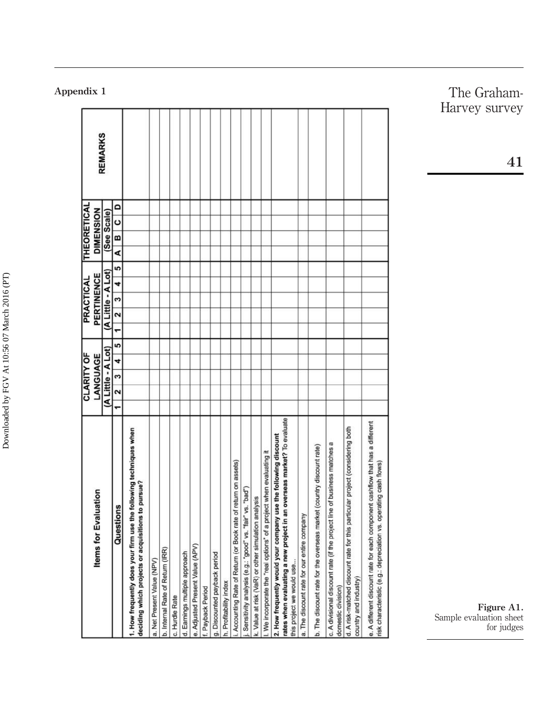| ı      |
|--------|
|        |
|        |
|        |
| I      |
| I      |
| Ì<br>١ |
| í      |
|        |
|        |
|        |
| I<br>֠ |
| ۱      |
|        |
|        |
|        |
|        |
|        |
|        |
|        |

|                                                                                                                                                    |                | <b>CLARITY OF</b>  |                          |    |        | PRACTICAL          |                                |  | THEORETICAL              |                |
|----------------------------------------------------------------------------------------------------------------------------------------------------|----------------|--------------------|--------------------------|----|--------|--------------------|--------------------------------|--|--------------------------|----------------|
| Items for Evaluation                                                                                                                               |                | LANGUAGE           |                          |    |        | PERTINENCE         |                                |  | <b>DIMENSION</b>         | <b>REMARKS</b> |
|                                                                                                                                                    |                | (A Little - A Lot) |                          |    |        | (A Little - A Lot) |                                |  | (See Scale)              |                |
| Questions                                                                                                                                          | $\overline{a}$ | $\overline{ }$     | $\overline{\phantom{0}}$ | 10 | $\sim$ | $\overline{3}$     | 10<br>$\overline{\phantom{0}}$ |  | $A \mid B \mid C \mid D$ |                |
| 1. How frequently does your firm use the following techniques when<br>deciding which projects or acquisitions to pursue?                           |                |                    |                          |    |        |                    |                                |  |                          |                |
| a. Net Present Value (NPV)                                                                                                                         |                |                    |                          |    |        |                    |                                |  |                          |                |
| b. Internal Rate of Return (IRR)                                                                                                                   |                |                    |                          |    |        |                    |                                |  |                          |                |
| c. Hurdle Rate                                                                                                                                     |                |                    |                          |    |        |                    |                                |  |                          |                |
| d. Earnings multiple approach                                                                                                                      |                |                    |                          |    |        |                    |                                |  |                          |                |
| e. Adjusted Present Value (APV)                                                                                                                    |                |                    |                          |    |        |                    |                                |  |                          |                |
| I. Payback Period                                                                                                                                  |                |                    |                          |    |        |                    |                                |  |                          |                |
| g. Discounted payback period                                                                                                                       |                |                    |                          |    |        |                    |                                |  |                          |                |
| h. Profitability index                                                                                                                             |                |                    |                          |    |        |                    |                                |  |                          |                |
| i. Accounting Rate of Return (or Book rate of return on assets)                                                                                    |                |                    |                          |    |        |                    |                                |  |                          |                |
| . Sensitivity analysis (e.g.: "good" vs. "fair" vs. "bad")                                                                                         |                |                    |                          |    |        |                    |                                |  |                          |                |
| k. Value at risk (VaR) or other simulation analysis                                                                                                |                |                    |                          |    |        |                    |                                |  |                          |                |
| . We incorporate the "real options" of a project when evaluating it                                                                                |                |                    |                          |    |        |                    |                                |  |                          |                |
| rates when evaluating a new project in an overseas market? To evaluate<br>2. How frequently would your company use the following discount          |                |                    |                          |    |        |                    |                                |  |                          |                |
| a. The discount rate for our entire company<br>this project we would use                                                                           |                |                    |                          |    |        |                    |                                |  |                          |                |
| b. The discount rate for the overseas market (country discount rate)                                                                               |                |                    |                          |    |        |                    |                                |  |                          |                |
| c. A divisional discount rate (if the project line of business matches a<br>domestic division)                                                     |                |                    |                          |    |        |                    |                                |  |                          |                |
| d. A risk-matched discount rate for this particular project (considering both<br>country and industry)                                             |                |                    |                          |    |        |                    |                                |  |                          |                |
| e. A different discount rate for each component cashflow that has a different<br>risk characteristic (e.g.: depreciation vs. operating cash flows) |                |                    |                          |    |        |                    |                                |  |                          |                |

The Graham-Harvey survey

Figure A1. Sample evaluation sheet for judges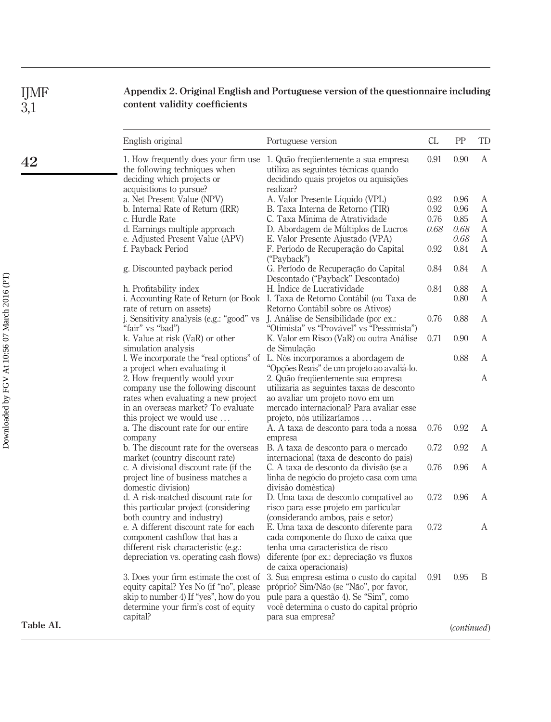#### Appendix 2. Original English and Portuguese version of the questionnaire including content validity coefficients IJMF

|           | English original                                                                                    | Portuguese version                                                                                                                  | CL   | PP                   | TD |
|-----------|-----------------------------------------------------------------------------------------------------|-------------------------------------------------------------------------------------------------------------------------------------|------|----------------------|----|
| 42        | 1. How frequently does your firm use<br>the following techniques when<br>deciding which projects or | 1. Quão freqüentemente a sua empresa<br>utiliza as seguintes técnicas quando<br>decidindo quais projetos ou aquisições<br>realizar? | 0.91 | 0.90                 | A  |
|           | acquisitions to pursue?<br>a. Net Present Value (NPV)                                               | A. Valor Presente Líquido (VPL)                                                                                                     | 0.92 | 0.96                 | A  |
|           | b. Internal Rate of Return (IRR)                                                                    | B. Taxa Interna de Retorno (TIR)                                                                                                    | 0.92 | 0.96                 | A  |
|           | c. Hurdle Rate                                                                                      | C. Taxa Mínima de Atratividade                                                                                                      | 0.76 | 0.85                 | А  |
|           | d. Earnings multiple approach                                                                       | D. Abordagem de Múltiplos de Lucros                                                                                                 | 0.68 | 0.68                 | A  |
|           | e. Adjusted Present Value (APV)                                                                     | E. Valor Presente Ajustado (VPA)                                                                                                    |      | 0.68                 | А  |
|           | f. Payback Period                                                                                   | F. Período de Recuperação do Capital<br>("Payback")                                                                                 | 0.92 | 0.84                 | A  |
|           | g. Discounted payback period                                                                        | G. Período de Recuperação do Capital<br>Descontado ("Payback" Descontado)                                                           | 0.84 | 0.84                 | А  |
|           | h. Profitability index                                                                              | H. Indice de Lucratividade                                                                                                          | 0.84 | 0.88                 | А  |
|           |                                                                                                     | i. Accounting Rate of Return (or Book I. Taxa de Retorno Contábil (ou Taxa de                                                       |      | 0.80                 | А  |
|           | rate of return on assets)                                                                           | Retorno Contábil sobre os Ativos)                                                                                                   |      |                      |    |
|           | j. Sensitivity analysis (e.g.: "good" vs                                                            | J. Análise de Sensibilidade (por ex.:                                                                                               | 0.76 | 0.88                 | А  |
|           | "fair" vs "bad")                                                                                    | "Otimista" vs "Provável" vs "Pessimista")                                                                                           |      |                      |    |
|           | k. Value at risk (VaR) or other                                                                     | K. Valor em Risco (VaR) ou outra Análise                                                                                            | 0.71 | 0.90                 | А  |
|           | simulation analysis<br>1. We incorporate the "real options" of                                      | de Simulação<br>L. Nós incorporamos a abordagem de                                                                                  |      | 0.88                 | А  |
|           | a project when evaluating it                                                                        | "Opções Reais" de um projeto ao avaliá-lo.                                                                                          |      |                      |    |
|           | 2. How frequently would your                                                                        | 2. Quão freqüentemente sua empresa                                                                                                  |      |                      | А  |
|           | company use the following discount                                                                  | utilizaria as seguintes taxas de desconto                                                                                           |      |                      |    |
|           | rates when evaluating a new project                                                                 | ao avaliar um projeto novo em um                                                                                                    |      |                      |    |
|           | in an overseas market? To evaluate                                                                  | mercado internacional? Para avaliar esse                                                                                            |      |                      |    |
|           | this project we would use                                                                           | projeto, nós utilizaríamos                                                                                                          |      |                      |    |
|           | a. The discount rate for our entire.                                                                | A. A taxa de desconto para toda a nossa                                                                                             | 0.76 | 0.92                 | А  |
|           | company                                                                                             | empresa                                                                                                                             |      |                      |    |
|           | b. The discount rate for the overseas                                                               | B. A taxa de desconto para o mercado                                                                                                | 0.72 | 0.92                 | А  |
|           | market (country discount rate)<br>c. A divisional discount rate (if the                             | internacional (taxa de desconto do país)<br>C. A taxa de desconto da divisão (se a                                                  | 0.76 | 0.96                 | А  |
|           | project line of business matches a                                                                  | linha de negócio do projeto casa com uma                                                                                            |      |                      |    |
|           | domestic division)                                                                                  | divisão doméstica)                                                                                                                  |      |                      |    |
|           | d. A risk-matched discount rate for                                                                 | D. Uma taxa de desconto compatível ao                                                                                               | 0.72 | 0.96                 | А  |
|           | this particular project (considering                                                                | risco para esse projeto em particular                                                                                               |      |                      |    |
|           | both country and industry)                                                                          | (considerando ambos, país e setor)                                                                                                  |      |                      |    |
|           | e. A different discount rate for each                                                               | E. Uma taxa de desconto diferente para                                                                                              | 0.72 |                      | А  |
|           | component cashflow that has a                                                                       | cada componente do fluxo de caixa que                                                                                               |      |                      |    |
|           | different risk characteristic (e.g.:                                                                | tenha uma característica de risco                                                                                                   |      |                      |    |
|           | depreciation vs. operating cash flows)                                                              | diferente (por ex.: depreciação vs fluxos<br>de caixa operacionais)                                                                 |      |                      |    |
|           | 3. Does your firm estimate the cost of                                                              | 3. Sua empresa estima o custo do capital                                                                                            | 0.91 | 0.95                 | B  |
|           | equity capital? Yes No (if "no", please                                                             | próprio? Sim/Não (se "Não", por favor,                                                                                              |      |                      |    |
|           | skip to number 4) If "yes", how do you                                                              | pule para a questão 4). Se "Sim", como                                                                                              |      |                      |    |
|           | determine your firm's cost of equity<br>capital?                                                    | você determina o custo do capital próprio<br>para sua empresa?                                                                      |      |                      |    |
| Table AI. |                                                                                                     |                                                                                                                                     |      | ( <i>continued</i> ) |    |
|           |                                                                                                     |                                                                                                                                     |      |                      |    |

3,1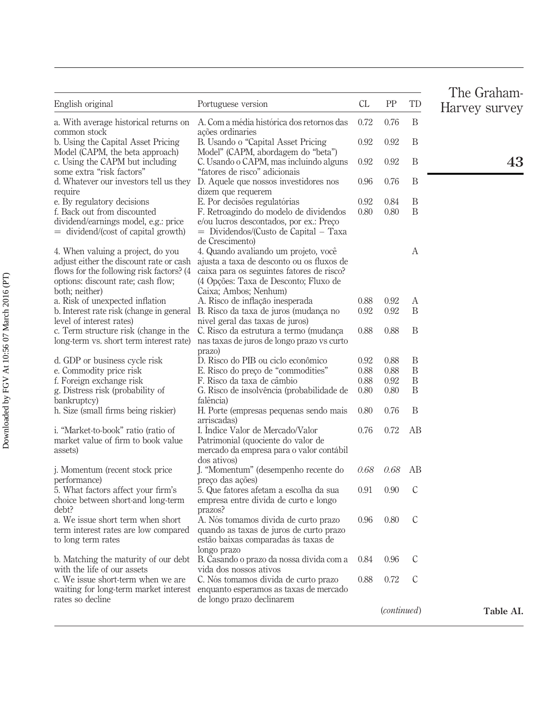|                                                                                                                                                                                   |                                                                                                                                                                                                  |              |              |        | The Graham-   |
|-----------------------------------------------------------------------------------------------------------------------------------------------------------------------------------|--------------------------------------------------------------------------------------------------------------------------------------------------------------------------------------------------|--------------|--------------|--------|---------------|
| English original                                                                                                                                                                  | Portuguese version                                                                                                                                                                               | CL           | PP           | TD     | Harvey survey |
| a. With average historical returns on<br>common stock                                                                                                                             | A. Com a média histórica dos retornos das<br>ações ordinaries                                                                                                                                    | 0.72         | 0.76         | B      |               |
| b. Using the Capital Asset Pricing<br>Model (CAPM, the beta approach)                                                                                                             | B. Usando o "Capital Asset Pricing"<br>Model" (CAPM, abordagem do "beta")                                                                                                                        | 0.92         | 0.92         | B      |               |
| c. Using the CAPM but including<br>some extra "risk factors"                                                                                                                      | C. Usando o CAPM, mas incluindo alguns<br>"fatores de risco" adicionais                                                                                                                          | 0.92         | 0.92         | B      | 43            |
| d. Whatever our investors tell us they<br>require                                                                                                                                 | D. Aquele que nossos investidores nos<br>dizem que requerem                                                                                                                                      | 0.96         | 0.76         | B      |               |
| e. By regulatory decisions<br>f. Back out from discounted<br>dividend/earnings model, e.g.: price<br>$=$ dividend/(cost of capital growth)                                        | E. Por decisões regulatórias<br>F. Retroagindo do modelo de dividendos<br>e/ou lucros descontados, por ex.: Preço<br>$=$ Dividendos/(Custo de Capital $-$ Taxa<br>de Crescimento)                | 0.92<br>0.80 | 0.84<br>0.80 | B<br>B |               |
| 4. When valuing a project, do you<br>adjust either the discount rate or cash<br>flows for the following risk factors? (4)<br>options: discount rate; cash flow;<br>both; neither) | 4. Quando avaliando um projeto, você<br>ajusta a taxa de desconto ou os fluxos de<br>caixa para os seguintes fatores de risco?<br>(4 Opções: Taxa de Desconto; Fluxo de<br>Caixa; Ambos; Nenhum) |              |              | А      |               |
| a. Risk of unexpected inflation                                                                                                                                                   | A. Risco de inflação inesperada                                                                                                                                                                  | 0.88         | 0.92         | А      |               |
| level of interest rates)                                                                                                                                                          | b. Interest rate risk (change in general B. Risco da taxa de juros (mudança no<br>nível geral das taxas de juros)                                                                                | 0.92         | 0.92         | B      |               |
| c. Term structure risk (change in the<br>long-term vs. short term interest rate)                                                                                                  | C. Risco da estrutura a termo (mudança<br>nas taxas de juros de longo prazo vs curto<br>prazo)                                                                                                   | 0.88         | 0.88         | B      |               |
| d. GDP or business cycle risk                                                                                                                                                     | D. Risco do PIB ou ciclo econômico                                                                                                                                                               | 0.92         | 0.88         | B      |               |
| e. Commodity price risk                                                                                                                                                           | E. Risco do preço de "commodities"                                                                                                                                                               | 0.88         | 0.88         | B      |               |
| f. Foreign exchange risk                                                                                                                                                          | F. Risco da taxa de câmbio                                                                                                                                                                       | 0.88         | 0.92         | B      |               |
| g. Distress risk (probability of<br>bankruptcy)                                                                                                                                   | G. Risco de insolvência (probabilidade de<br>falência)                                                                                                                                           | 0.80         | 0.80         | B      |               |
| h. Size (small firms being riskier)                                                                                                                                               | H. Porte (empresas pequenas sendo mais<br>arriscadas)                                                                                                                                            | 0.80         | 0.76         | B      |               |
| i. "Market-to-book" ratio (ratio of<br>market value of firm to book value<br>assets)                                                                                              | I. Indice Valor de Mercado/Valor<br>Patrimonial (quociente do valor de<br>mercado da empresa para o valor contábil<br>dos ativos)                                                                | 0.76         | 0.72         | AB     |               |
| j. Momentum (recent stock price<br>performance)                                                                                                                                   | J. "Momentum" (desempenho recente do<br>preco das ações)                                                                                                                                         | 0.68         | 0.68         | AB     |               |
| 5. What factors affect your firm's<br>choice between short-and long-term<br>debt?                                                                                                 | 5. Que fatores afetam a escolha da sua<br>empresa entre dívida de curto e longo<br>prazos?                                                                                                       | 0.91         | 0.90         | C      |               |
| a. We issue short term when short<br>term interest rates are low compared<br>to long term rates                                                                                   | A. Nós tomamos dívida de curto prazo<br>quando as taxas de juros de curto prazo<br>estão baixas comparadas às taxas de<br>longo prazo                                                            | 0.96         | 0.80         | C      |               |
| b. Matching the maturity of our debt<br>with the life of our assets                                                                                                               | B. Casando o prazo da nossa dívida com a<br>vida dos nossos ativos                                                                                                                               | 0.84         | 0.96         | С      |               |
| c. We issue short-term when we are<br>waiting for long-term market interest<br>rates so decline                                                                                   | C. Nós tomamos dívida de curto prazo<br>enquanto esperamos as taxas de mercado<br>de longo prazo declinarem                                                                                      | 0.88         | 0.72         | C      |               |
|                                                                                                                                                                                   |                                                                                                                                                                                                  |              | (continued)  |        | Table AI.     |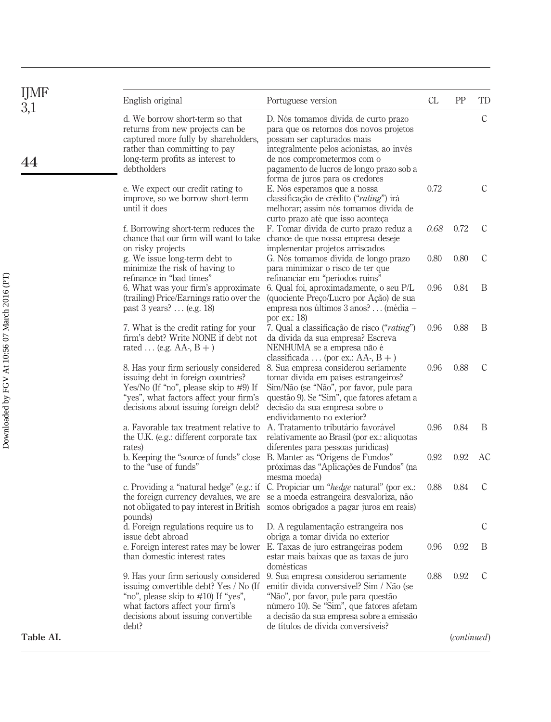| <b>IJMF</b><br>3,1 | English original                                                                                                                                                                                          | Portuguese version                                                                                                                                                                                                                                                          | CL   | PP                   | TD            |
|--------------------|-----------------------------------------------------------------------------------------------------------------------------------------------------------------------------------------------------------|-----------------------------------------------------------------------------------------------------------------------------------------------------------------------------------------------------------------------------------------------------------------------------|------|----------------------|---------------|
| 44                 | d. We borrow short-term so that<br>returns from new projects can be<br>captured more fully by shareholders,<br>rather than committing to pay<br>long-term profits as interest to<br>debtholders           | D. Nós tomamos dívida de curto prazo<br>para que os retornos dos novos projetos<br>possam ser capturados mais<br>integralmente pelos acionistas, ao invés<br>de nos comprometermos com o<br>pagamento de lucros de longo prazo sob a                                        |      |                      | $\mathcal{C}$ |
|                    | e. We expect our credit rating to<br>improve, so we borrow short-term<br>until it does                                                                                                                    | forma de juros para os credores<br>E. Nós esperamos que a nossa<br>classificação de crédito (" <i>rating</i> ") irá<br>melhorar; assim nós tomamos dívida de<br>curto prazo até que isso aconteça                                                                           | 0.72 |                      | C             |
|                    | f. Borrowing short-term reduces the<br>chance that our firm will want to take chance de que nossa empresa deseje<br>on risky projects                                                                     | F. Tomar dívida de curto prazo reduz a<br>implementar projetos arriscados                                                                                                                                                                                                   | 0.68 | 0.72                 | C             |
|                    | g. We issue long-term debt to<br>minimize the risk of having to<br>refinance in "bad times"                                                                                                               | G. Nós tomamos dívida de longo prazo<br>para minimizar o risco de ter que<br>refinanciar em "períodos ruins"                                                                                                                                                                | 0.80 | 0.80                 | С             |
|                    | 6. What was your firm's approximate<br>(trailing) Price/Earnings ratio over the<br>past 3 years? (e.g. 18)                                                                                                | 6. Qual foi, aproximadamente, o seu P/L<br>(quociente Preço/Lucro por Ação) de sua<br>empresa nos últimos 3 anos?  (média –<br>por $ex.: 18$                                                                                                                                | 0.96 | 0.84                 | B             |
|                    | 7. What is the credit rating for your<br>firm's debt? Write NONE if debt not<br>rated $\dots$ (e.g. AA-, $B +$ )                                                                                          | 7. Qual a classificação de risco ("rating")<br>da dívida da sua empresa? Escreva<br>NENHUMA se a empresa não é<br>classificada  (por ex.: AA-, $B +$ )                                                                                                                      | 0.96 | 0.88                 | B             |
|                    | issuing debt in foreign countries?<br>Yes/No (If "no", please skip to #9) If<br>"yes", what factors affect your firm's<br>decisions about issuing foreign debt?                                           | 8. Has your firm seriously considered 8. Sua empresa considerou seriamente<br>tomar dívida em países estrangeiros?<br>Sim/Não (se "Não", por favor, pule para<br>questão 9). Se "Sim", que fatores afetam a<br>decisão da sua empresa sobre o<br>endividamento no exterior? | 0.96 | 0.88                 | C             |
|                    | a. Favorable tax treatment relative to A. Tratamento tributário favorável<br>the U.K. (e.g.: different corporate tax<br>rates)                                                                            | relativamente ao Brasil (por ex.: alíquotas<br>diferentes para pessoas jurídicas)                                                                                                                                                                                           | 0.96 | 0.84                 | B             |
|                    | b. Keeping the "source of funds" close B. Manter as "Origens de Fundos"<br>to the "use of funds"                                                                                                          | próximas das "Aplicações de Fundos" (na<br>mesma moeda)                                                                                                                                                                                                                     | 0.92 | 0.92                 | AC            |
|                    | pounds)                                                                                                                                                                                                   | c. Providing a "natural hedge" (e.g.: if C. Propiciar um "hedge natural" (por ex.:<br>the foreign currency devalues, we are se a moeda estrangeira desvaloriza, não<br>not obligated to pay interest in British somes obrigades a pagar juros em reais)                     | 0.88 | 0.84                 | C             |
|                    | d. Foreign regulations require us to                                                                                                                                                                      | D. A regulamentação estrangeira nos                                                                                                                                                                                                                                         |      |                      | C             |
|                    | issue debt abroad<br>than domestic interest rates                                                                                                                                                         | obriga a tomar dívida no exterior<br>e. Foreign interest rates may be lower E. Taxas de juro estrangeiras podem<br>estar mais baixas que as taxas de juro<br>domésticas                                                                                                     | 0.96 | 0.92                 | B             |
|                    | 9. Has your firm seriously considered<br>issuing convertible debt? Yes / No (If<br>"no", please skip to #10) If "yes",<br>what factors affect your firm's<br>decisions about issuing convertible<br>debt? | 9. Sua empresa considerou seriamente<br>emitir dívida conversível? Sim / Não (se<br>"Não", por favor, pule para questão<br>número 10). Se "Sim", que fatores afetam<br>a decisão da sua empresa sobre a emissão<br>de títulos de dívida conversíveis?                       | 0.88 | 0.92                 | C             |
| Table AI.          |                                                                                                                                                                                                           |                                                                                                                                                                                                                                                                             |      | ( <i>continued</i> ) |               |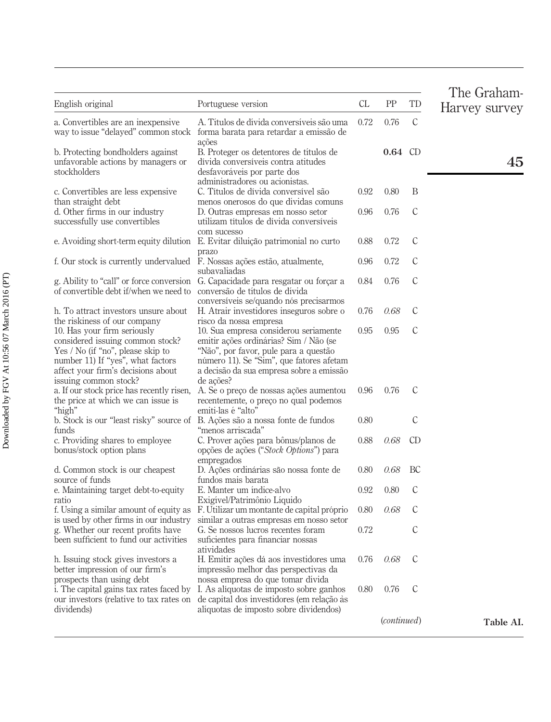|                                                                                                                                                                                                          |                                                                                                                                                                                                                               |      |                      |               | The Graham-   |
|----------------------------------------------------------------------------------------------------------------------------------------------------------------------------------------------------------|-------------------------------------------------------------------------------------------------------------------------------------------------------------------------------------------------------------------------------|------|----------------------|---------------|---------------|
| English original                                                                                                                                                                                         | Portuguese version                                                                                                                                                                                                            | CL   | PP                   | TD            | Harvey survey |
| a. Convertibles are an inexpensive                                                                                                                                                                       | A. Títulos de dívida conversíveis são uma<br>way to issue "delayed" common stock forma barata para retardar a emissão de                                                                                                      | 0.72 | 0.76                 | $\mathcal{C}$ |               |
| b. Protecting bondholders against<br>unfavorable actions by managers or<br>stockholders                                                                                                                  | acões<br>B. Proteger os detentores de títulos de<br>dívida conversíveis contra atitudes<br>desfavoráveis por parte dos                                                                                                        |      | $0.64$ CD            |               | 45            |
| c. Convertibles are less expensive<br>than straight debt                                                                                                                                                 | administradores ou acionistas.<br>C. Títulos de dívida conversível são<br>menos onerosos do que dívidas comuns                                                                                                                | 0.92 | 0.80                 | B             |               |
| d. Other firms in our industry<br>successfully use convertibles                                                                                                                                          | D. Outras empresas em nosso setor<br>utilizam títulos de dívida conversíveis                                                                                                                                                  | 0.96 | 0.76                 | $\mathcal{C}$ |               |
|                                                                                                                                                                                                          | com sucesso<br>e. Avoiding short-term equity dilution E. Evitar diluição patrimonial no curto<br>prazo                                                                                                                        | 0.88 | 0.72                 | C             |               |
| f. Our stock is currently undervalued F. Nossas ações estão, atualmente,                                                                                                                                 | subavaliadas                                                                                                                                                                                                                  | 0.96 | 0.72                 | C             |               |
| g. Ability to "call" or force conversion<br>of convertible debt if/when we need to                                                                                                                       | G. Capacidade para resgatar ou forçar a<br>conversão de títulos de dívida<br>conversíveis se/quando nós precisarmos                                                                                                           | 0.84 | 0.76                 | C             |               |
| h. To attract investors unsure about<br>the riskiness of our company                                                                                                                                     | H. Atrair investidores inseguros sobre o<br>risco da nossa empresa                                                                                                                                                            | 0.76 | 0.68                 | C             |               |
| 10. Has your firm seriously<br>considered issuing common stock?<br>Yes / No (if "no", please skip to<br>number 11) If "yes", what factors<br>affect your firm's decisions about<br>issuing common stock? | 10. Sua empresa considerou seriamente<br>emitir ações ordinárias? Sim / Não (se<br>"Não", por favor, pule para a questão<br>número 11). Se "Sim", que fatores afetam<br>a decisão da sua empresa sobre a emissão<br>de ações? | 0.95 | 0.95                 | C             |               |
| a. If our stock price has recently risen,<br>the price at which we can issue is<br>"high"                                                                                                                | A. Se o preço de nossas ações aumentou<br>recentemente, o preço no qual podemos<br>emiti-las é "alto"                                                                                                                         | 0.96 | 0.76                 | C             |               |
| b. Stock is our "least risky" source of<br>funds                                                                                                                                                         | B. Ações são a nossa fonte de fundos<br>"menos arriscada"                                                                                                                                                                     | 0.80 |                      | C             |               |
| c. Providing shares to employee<br>bonus/stock option plans                                                                                                                                              | C. Prover ações para bônus/planos de<br>opções de ações ("Stock Options") para<br>empregados                                                                                                                                  | 0.88 | 0.68                 | CD            |               |
| d. Common stock is our cheapest<br>source of funds                                                                                                                                                       | D. Ações ordinárias são nossa fonte de<br>fundos mais barata                                                                                                                                                                  | 0.80 | 0.68                 | BC            |               |
| e. Maintaining target debt-to-equity<br>ratio                                                                                                                                                            | E. Manter um índice-alvo<br>Exigível/Patrimônio Líquido                                                                                                                                                                       | 0.92 | 0.80                 | C             |               |
| f. Using a similar amount of equity as<br>is used by other firms in our industry                                                                                                                         | F. Utilizar um montante de capital próprio<br>similar a outras empresas em nosso setor                                                                                                                                        | 0.80 | 0.68                 | C             |               |
| g. Whether our recent profits have<br>been sufficient to fund our activities                                                                                                                             | G. Se nossos lucros recentes foram<br>suficientes para financiar nossas<br>atividades                                                                                                                                         | 0.72 |                      | C             |               |
| h. Issuing stock gives investors a<br>better impression of our firm's<br>prospects than using debt                                                                                                       | H. Emitir ações dá aos investidores uma<br>impressão melhor das perspectivas da<br>nossa empresa do que tomar dívida                                                                                                          | 0.76 | 0.68                 | C             |               |
| i. The capital gains tax rates faced by<br>our investors (relative to tax rates on<br>dividends)                                                                                                         | I. As alíquotas de imposto sobre ganhos<br>de capital dos investidores (em relação às<br>alíquotas de imposto sobre dividendos)                                                                                               | 0.80 | 0.76                 | C             |               |
|                                                                                                                                                                                                          |                                                                                                                                                                                                                               |      | ( <i>continued</i> ) |               | Table AI.     |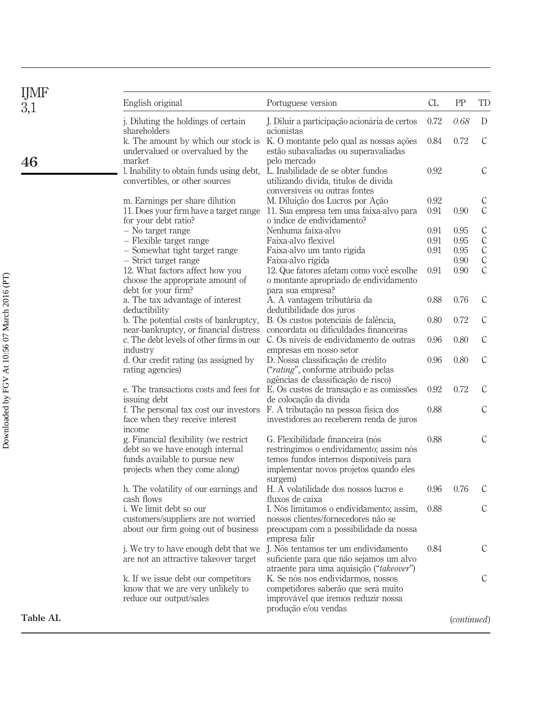| IJMF      |                                                                                                                                             |                                                                                                                                                                            |                      |                      |                                                 |  |  |  |  |  |
|-----------|---------------------------------------------------------------------------------------------------------------------------------------------|----------------------------------------------------------------------------------------------------------------------------------------------------------------------------|----------------------|----------------------|-------------------------------------------------|--|--|--|--|--|
| 3,1       | English original                                                                                                                            | Portuguese version                                                                                                                                                         |                      |                      | TD                                              |  |  |  |  |  |
|           | J. Diluir a participação acionária de certos<br><i>i.</i> Diluting the holdings of certain<br>shareholders<br>acionistas                    |                                                                                                                                                                            | $0.72\,$             | 0.68                 | D                                               |  |  |  |  |  |
|           | k. The amount by which our stock is<br>undervalued or overvalued by the<br>market                                                           | K. O montante pelo qual as nossas ações<br>estão subavaliadas ou superavaliadas<br>pelo mercado                                                                            | 0.84                 | 0.72                 | C                                               |  |  |  |  |  |
| 46        | l. Inability to obtain funds using debt,<br>convertibles, or other sources                                                                  | L. Inabilidade de se obter fundos<br>utilizando dívida, títulos de dívida                                                                                                  | 0.92                 |                      | $\mathcal{C}$                                   |  |  |  |  |  |
|           | m. Earnings per share dilution<br>11. Does your firm have a target range<br>for your debt ratio?                                            | conversíveis ou outras fontes<br>M. Diluição dos Lucros por Ação<br>11. Sua empresa tem uma faixa-alvo para<br>o índice de endividamento?                                  | 0.92<br>0.91         | 0.90                 | C<br>$\mathsf{C}$                               |  |  |  |  |  |
|           | - No target range<br>- Flexible target range<br>- Somewhat tight target range                                                               | Nenhuma faixa-alvo<br>Faixa-alvo flexível<br>Faixa-alvo um tanto rígida                                                                                                    | 0.91<br>0.91<br>0.91 | 0.95<br>0.95<br>0.95 | $\mathsf C$<br>$\overline{C}$<br>$\overline{C}$ |  |  |  |  |  |
|           | - Strict target range<br>12. What factors affect how you<br>choose the appropriate amount of<br>debt for your firm?                         | Faixa-alvo rígida<br>12. Que fatores afetam como você escolhe<br>o montante apropriado de endividamento<br>para sua empresa?                                               | 0.91                 | 0.90<br>0.90         | $\mathcal{C}$                                   |  |  |  |  |  |
|           | a. The tax advantage of interest<br>deductibility                                                                                           | A. A vantagem tributária da<br>dedutibilidade dos juros                                                                                                                    | 0.88                 | 0.76                 | C                                               |  |  |  |  |  |
|           | b. The potential costs of bankruptcy,<br>near-bankruptcy, or financial distress                                                             | B. Os custos potenciais de falência,<br>concordata ou dificuldades financeiras                                                                                             | 0.80                 | 0.72<br>0.80         | C<br>C                                          |  |  |  |  |  |
|           | c. The debt levels of other firms in our<br>industry<br>d. Our credit rating (as assigned by                                                | C. Os níveis de endividamento de outras<br>empresas em nosso setor<br>D. Nossa classificação de crédito                                                                    | 0.96<br>0.96         | 0.80                 | C                                               |  |  |  |  |  |
|           | rating agencies)                                                                                                                            | <i>("rating"</i> , conforme atribuído pelas<br>agências de classificação de risco)                                                                                         |                      |                      |                                                 |  |  |  |  |  |
|           | e. The transactions costs and fees for<br>issuing debt                                                                                      | E. Os custos de transação e as comissões<br>de colocação da dívida                                                                                                         | 0.92                 | 0.72                 | C                                               |  |  |  |  |  |
|           | f. The personal tax cost our investors<br>face when they receive interest<br>income                                                         | F. A tributação na pessoa física dos<br>investidores ao receberem renda de juros                                                                                           | 0.88                 |                      | C                                               |  |  |  |  |  |
|           | g. Financial flexibility (we restrict<br>debt so we have enough internal<br>funds available to pursue new<br>projects when they come along) | G. Flexibilidade financeira (nós<br>restringimos o endividamento; assim nós<br>temos fundos internos disponíveis para<br>implementar novos projetos quando eles<br>surgem) | 0.88                 |                      | C                                               |  |  |  |  |  |
|           | h. The volatility of our earnings and<br>cash flows                                                                                         | H. A volatilidade dos nossos lucros e<br>fluxos de caixa                                                                                                                   | 0.96                 | 0.76                 | C                                               |  |  |  |  |  |
|           | i. We limit debt so our<br>customers/suppliers are not worried<br>about our firm going out of business                                      | I. Nós limitamos o endividamento; assim.<br>nossos clientes/fornecedores não se<br>preocupam com a possibilidade da nossa<br>empresa falir                                 | 0.88                 |                      | C                                               |  |  |  |  |  |
|           | <i>i</i> . We try to have enough debt that we<br>are not an attractive takeover target                                                      | J. Nós tentamos ter um endividamento<br>suficiente para que não sejamos um alvo<br>atraente para uma aquisição ("takeover")                                                | 0.84                 |                      | C                                               |  |  |  |  |  |
|           | k. If we issue debt our competitors<br>know that we are very unlikely to<br>reduce our output/sales                                         | K. Se nós nos endividarmos, nossos<br>competidores saberão que será muito<br>improvável que iremos reduzir nossa<br>produção e/ou vendas                                   |                      |                      | C                                               |  |  |  |  |  |
| Table AI. |                                                                                                                                             |                                                                                                                                                                            |                      | ( <i>continued</i> ) |                                                 |  |  |  |  |  |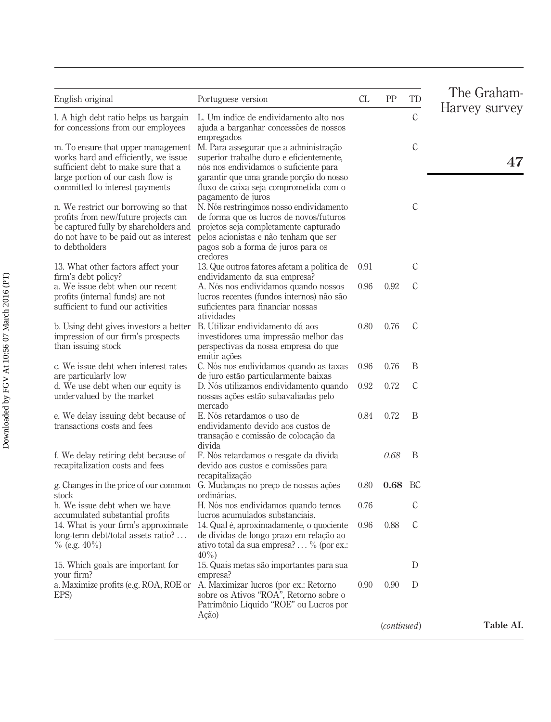| English original                                                                                                                                                                  | Portuguese version                                                                                                                                                                                                     | CL   | PP          | TD            | The Graham-   |
|-----------------------------------------------------------------------------------------------------------------------------------------------------------------------------------|------------------------------------------------------------------------------------------------------------------------------------------------------------------------------------------------------------------------|------|-------------|---------------|---------------|
| l. A high debt ratio helps us bargain<br>for concessions from our employees                                                                                                       | L. Um índice de endividamento alto nos<br>ajuda a barganhar concessões de nossos<br>empregados                                                                                                                         |      |             | $\mathcal{C}$ | Harvey survey |
| m. To ensure that upper management<br>works hard and efficiently, we issue<br>sufficient debt to make sure that a<br>large portion of our cash flow is                            | M. Para assegurar que a administração<br>superior trabalhe duro e eficientemente,<br>nós nos endividamos o suficiente para<br>garantir que uma grande porção do nosso                                                  |      |             | C             | 47            |
| committed to interest payments                                                                                                                                                    | fluxo de caixa seja comprometida com o<br>pagamento de juros                                                                                                                                                           |      |             |               |               |
| n. We restrict our borrowing so that<br>profits from new/future projects can<br>be captured fully by shareholders and<br>do not have to be paid out as interest<br>to debtholders | N. Nós restringimos nosso endividamento<br>de forma que os lucros de novos/futuros<br>projetos seja completamente capturado<br>pelos acionistas e não tenham que ser<br>pagos sob a forma de juros para os<br>credores |      |             | C             |               |
| 13. What other factors affect your                                                                                                                                                | 13. Que outros fatores afetam a política de                                                                                                                                                                            | 0.91 |             | C             |               |
| firm's debt policy?<br>a. We issue debt when our recent<br>profits (internal funds) are not<br>sufficient to fund our activities                                                  | endividamento da sua empresa?<br>A. Nós nos endividamos quando nossos<br>lucros recentes (fundos internos) não são<br>suficientes para financiar nossas<br>atividades                                                  | 0.96 | 0.92        | C             |               |
| b. Using debt gives investors a better<br>impression of our firm's prospects<br>than issuing stock                                                                                | B. Utilizar endividamento dá aos<br>investidores uma impressão melhor das<br>perspectivas da nossa empresa do que<br>emitir ações                                                                                      | 0.80 | 0.76        | C             |               |
| c. We issue debt when interest rates                                                                                                                                              | C. Nós nos endividamos quando as taxas                                                                                                                                                                                 | 0.96 | 0.76        | B             |               |
| are particularly low<br>d. We use debt when our equity is<br>undervalued by the market                                                                                            | de juro estão particularmente baixas<br>D. Nós utilizamos endividamento quando<br>nossas ações estão subavaliadas pelo                                                                                                 | 0.92 | 0.72        | С             |               |
| e. We delay issuing debt because of<br>transactions costs and fees                                                                                                                | mercado<br>E. Nós retardamos o uso de<br>endividamento devido aos custos de<br>transação e comissão de colocação da                                                                                                    | 0.84 | 0.72        | B             |               |
| f. We delay retiring debt because of<br>recapitalization costs and fees                                                                                                           | dívida<br>F. Nós retardamos o resgate da dívida<br>devido aos custos e comissões para                                                                                                                                  |      | 0.68        | B             |               |
| g. Changes in the price of our common                                                                                                                                             | recapitalização<br>G. Mudanças no preço de nossas ações                                                                                                                                                                | 0.80 | 0.68 BC     |               |               |
| stock<br>h. We issue debt when we have<br>accumulated substantial profits                                                                                                         | ordinárias.<br>H. Nós nos endividamos quando temos<br>lucros acumulados substanciais.                                                                                                                                  | 0.76 |             | C             |               |
| 14. What is your firm's approximate<br>long-term debt/total assets ratio?<br>$\%$ (e.g. 40%)                                                                                      | 14. Qual é, aproximadamente, o quociente<br>de dívidas de longo prazo em relação ao<br>ativo total da sua empresa? % (por ex.:<br>$40\%$ )                                                                             | 0.96 | 0.88        | C             |               |
| 15. Which goals are important for                                                                                                                                                 | 15. Quais metas são importantes para sua                                                                                                                                                                               |      |             | D             |               |
| your firm?<br>a. Maximize profits (e.g. ROA, ROE or<br>EPS)                                                                                                                       | empresa?<br>A. Maximizar lucros (por ex.: Retorno<br>sobre os Ativos "ROA", Retorno sobre o<br>Patrimônio Líquido "ROE" ou Lucros por<br>Ação)                                                                         | 0.90 | 0.90        | D             |               |
|                                                                                                                                                                                   |                                                                                                                                                                                                                        |      | (continued) |               | Table AI.     |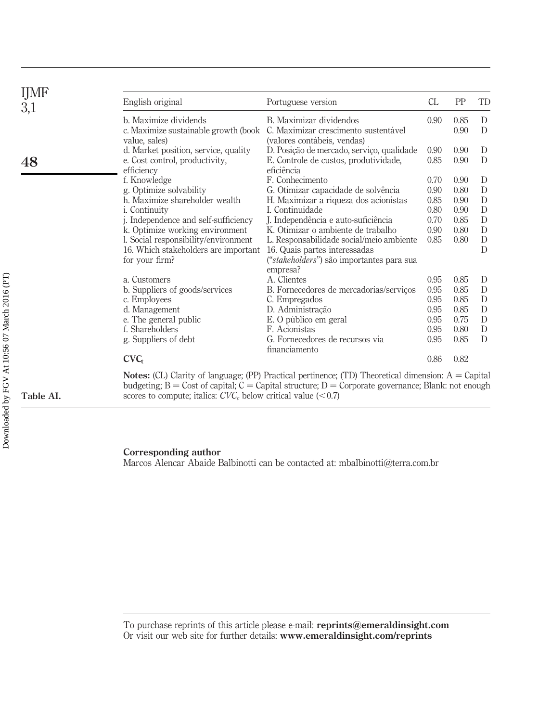| 3,1 |                                                                                      | Portuguese version                                                                               | CL           | PP           | TD            |
|-----|--------------------------------------------------------------------------------------|--------------------------------------------------------------------------------------------------|--------------|--------------|---------------|
|     | b. Maximize dividends<br>c. Maximize sustainable growth (book                        | B. Maximizar dividendos<br>C. Maximizar crescimento sustentável                                  | 0.90         | 0.85<br>0.90 | D<br>D        |
|     | value, sales)                                                                        | (valores contábeis, vendas)                                                                      |              | 0.90         |               |
| 48  | d. Market position, service, quality<br>e. Cost control, productivity,<br>efficiency | D. Posição de mercado, serviço, qualidade<br>E. Controle de custos, produtividade,<br>eficiência | 0.90<br>0.85 | 0.90         | D<br>D        |
|     | f. Knowledge                                                                         | F. Conhecimento                                                                                  | 0.70         | 0.90         | D             |
|     | g. Optimize solvability                                                              | G. Otimizar capacidade de solvência                                                              | 0.90         | 0.80         | D             |
|     | h. Maximize shareholder wealth                                                       | H. Maximizar a riqueza dos acionistas                                                            | 0.85         | 0.90         | D             |
|     | <i>i</i> . Continuity                                                                | I. Continuidade                                                                                  | 0.80         | 0.90         | D             |
|     | <i>i</i> . Independence and self-sufficiency                                         | J. Independência e auto-suficiência                                                              | 0.70         | 0.85         | D             |
|     | k. Optimize working environment                                                      | K. Otimizar o ambiente de trabalho                                                               | 0.90         | 0.80         | D             |
|     | 1. Social responsibility/environment                                                 | L. Responsabilidade social/meio ambiente                                                         | 0.85         | 0.80         | D             |
|     | 16. Which stakeholders are important                                                 | 16. Quais partes interessadas                                                                    |              |              | $\mathcal{D}$ |
|     | for your firm?                                                                       | <i>("stakeholders")</i> são importantes para sua<br>empresa?                                     |              |              |               |
|     | a. Customers                                                                         | A. Clientes                                                                                      | 0.95         | 0.85         | D             |
|     | b. Suppliers of goods/services                                                       | B. Fornecedores de mercadorias/serviços                                                          | 0.95         | 0.85         | D             |
|     | c. Employees                                                                         | C. Empregados                                                                                    | 0.95         | 0.85         | D             |
|     | d. Management                                                                        | D. Administração                                                                                 | 0.95         | 0.85         | D             |
|     | e. The general public                                                                | E. O público em geral                                                                            | 0.95         | 0.75         | D             |
|     | f. Shareholders                                                                      | F. Acionistas                                                                                    | 0.95         | 0.80         | D             |
|     | g. Suppliers of debt                                                                 | G. Fornecedores de recursos via<br>financiamento                                                 | 0.95         | 0.85         | $\mathcal{D}$ |
|     | CVC <sub>t</sub>                                                                     |                                                                                                  | 0.86         | 0.82         |               |

**Table AI.** scores to compute; italics:  $CVC_c$  below critical value (<0.7)

Corresponding author

Marcos Alencar Abaide Balbinotti can be contacted at: mbalbinotti@terra.com.br

To purchase reprints of this article please e-mail: reprints@emeraldinsight.com Or visit our web site for further details: www.emeraldinsight.com/reprints